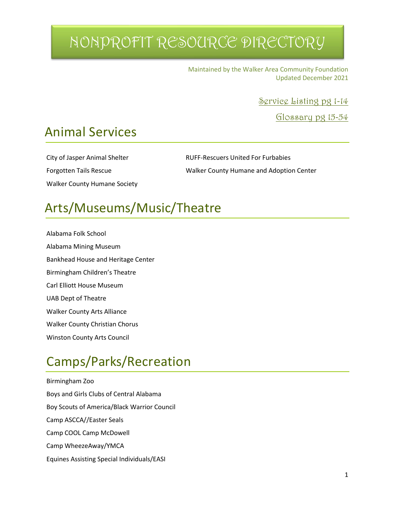Maintained by the Walker Area Community Foundation Updated December 2021

Service Listing pg 1-14

Glossary pg 15-54

### Animal Services

Walker County Humane Society

City of Jasper Animal Shelter RUFF-Rescuers United For Furbabies Forgotten Tails Rescue Walker County Humane and Adoption Center

### Arts/Museums/Music/Theatre

Alabama Folk School Alabama Mining Museum Bankhead House and Heritage Center Birmingham Children's Theatre Carl Elliott House Museum UAB Dept of Theatre Walker County Arts Alliance Walker County Christian Chorus Winston County Arts Council

### Camps/Parks/Recreation

Birmingham Zoo Boys and Girls Clubs of Central Alabama Boy Scouts of America/Black Warrior Council Camp ASCCA//Easter Seals Camp COOL Camp McDowell Camp WheezeAway/YMCA Equines Assisting Special Individuals/EASI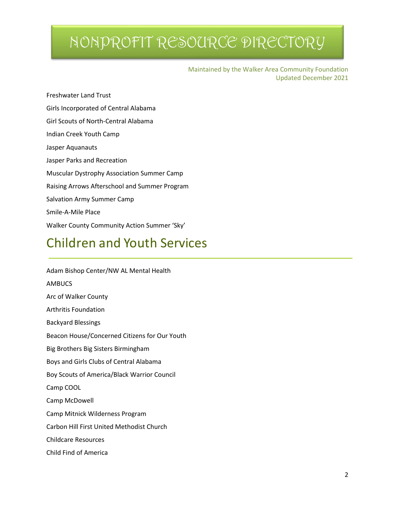Maintained by the Walker Area Community Foundation Updated December 2021

Freshwater Land Trust Girls Incorporated of Central Alabama Girl Scouts of North-Central Alabama Indian Creek Youth Camp Jasper Aquanauts Jasper Parks and Recreation Muscular Dystrophy Association Summer Camp Raising Arrows Afterschool and Summer Program Salvation Army Summer Camp Smile-A-Mile Place Walker County Community Action Summer 'Sky'

### Children and Youth Services

| Adam Bishop Center/NW AL Mental Health        |  |  |  |  |
|-----------------------------------------------|--|--|--|--|
| <b>AMBUCS</b>                                 |  |  |  |  |
| Arc of Walker County                          |  |  |  |  |
| Arthritis Foundation                          |  |  |  |  |
| <b>Backyard Blessings</b>                     |  |  |  |  |
| Beacon House/Concerned Citizens for Our Youth |  |  |  |  |
| Big Brothers Big Sisters Birmingham           |  |  |  |  |
| Boys and Girls Clubs of Central Alabama       |  |  |  |  |
| Boy Scouts of America/Black Warrior Council   |  |  |  |  |
| Camp COOL                                     |  |  |  |  |
| Camp McDowell                                 |  |  |  |  |
| Camp Mitnick Wilderness Program               |  |  |  |  |
| Carbon Hill First United Methodist Church     |  |  |  |  |
| <b>Childcare Resources</b>                    |  |  |  |  |
| Child Find of America                         |  |  |  |  |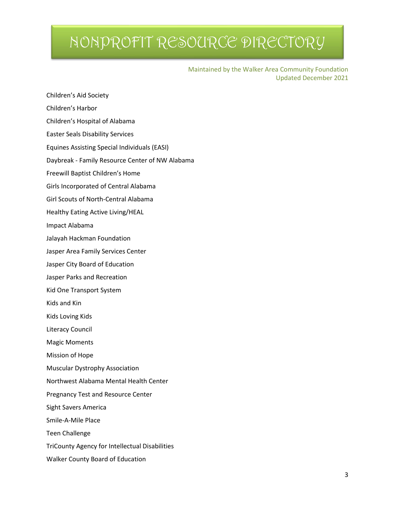Maintained by the Walker Area Community Foundation Updated December 2021

Children's Aid Society

Children's Harbor

Children's Hospital of Alabama

Easter Seals Disability Services

Equines Assisting Special Individuals (EASI)

Daybreak - Family Resource Center of NW Alabama

Freewill Baptist Children's Home

Girls Incorporated of Central Alabama

Girl Scouts of North-Central Alabama

Healthy Eating Active Living/HEAL

Impact Alabama

Jalayah Hackman Foundation

Jasper Area Family Services Center

Jasper City Board of Education

Jasper Parks and Recreation

Kid One Transport System

Kids and Kin

Kids Loving Kids

Literacy Council

Magic Moments

Mission of Hope

Muscular Dystrophy Association

Northwest Alabama Mental Health Center

Pregnancy Test and Resource Center

Sight Savers America

Smile-A-Mile Place

Teen Challenge

TriCounty Agency for Intellectual Disabilities

Walker County Board of Education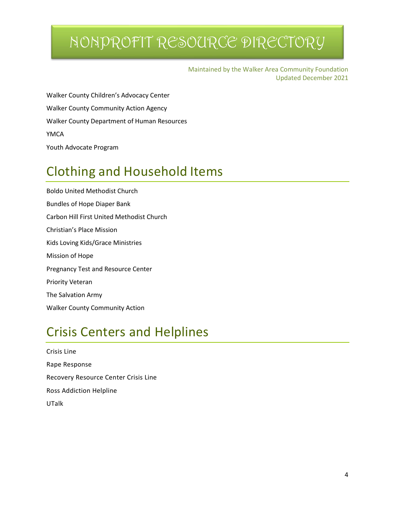Maintained by the Walker Area Community Foundation Updated December 2021

Walker County Children's Advocacy Center Walker County Community Action Agency Walker County Department of Human Resources YMCA Youth Advocate Program

### Clothing and Household Items

Boldo United Methodist Church Bundles of Hope Diaper Bank Carbon Hill First United Methodist Church Christian's Place Mission Kids Loving Kids/Grace Ministries Mission of Hope Pregnancy Test and Resource Center Priority Veteran The Salvation Army Walker County Community Action

### Crisis Centers and Helplines

Crisis Line Rape Response Recovery Resource Center Crisis Line Ross Addiction Helpline UTalk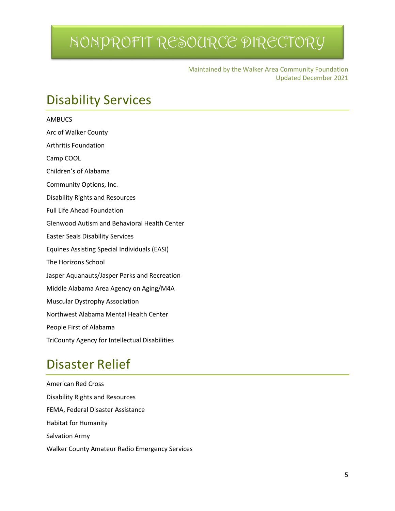Maintained by the Walker Area Community Foundation Updated December 2021

### Disability Services

| <b>AMBUCS</b>                                       |
|-----------------------------------------------------|
| Arc of Walker County                                |
| <b>Arthritis Foundation</b>                         |
| Camp COOL                                           |
| Children's of Alabama                               |
| Community Options, Inc.                             |
| <b>Disability Rights and Resources</b>              |
| <b>Full Life Ahead Foundation</b>                   |
| <b>Glenwood Autism and Behavioral Health Center</b> |
| <b>Easter Seals Disability Services</b>             |
| <b>Equines Assisting Special Individuals (EASI)</b> |
| The Horizons School                                 |
| Jasper Aquanauts/Jasper Parks and Recreation        |
| Middle Alabama Area Agency on Aging/M4A             |
| <b>Muscular Dystrophy Association</b>               |
| Northwest Alabama Mental Health Center              |
| People First of Alabama                             |
| TriCounty Agency for Intellectual Disabilities      |

### Disaster Relief

American Red Cross Disability Rights and Resources FEMA, Federal Disaster Assistance Habitat for Humanity Salvation Army Walker County Amateur Radio Emergency Services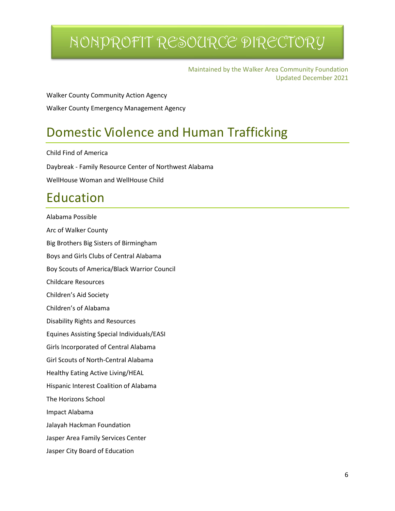Maintained by the Walker Area Community Foundation Updated December 2021

Walker County Community Action Agency Walker County Emergency Management Agency

### Domestic Violence and Human Trafficking

Child Find of America Daybreak - Family Resource Center of Northwest Alabama WellHouse Woman and WellHouse Child

### Education

Alabama Possible Arc of Walker County Big Brothers Big Sisters of Birmingham Boys and Girls Clubs of Central Alabama Boy Scouts of America/Black Warrior Council Childcare Resources Children's Aid Society Children's of Alabama Disability Rights and Resources Equines Assisting Special Individuals/EASI Girls Incorporated of Central Alabama Girl Scouts of North-Central Alabama Healthy Eating Active Living/HEAL Hispanic Interest Coalition of Alabama The Horizons School Impact Alabama Jalayah Hackman Foundation Jasper Area Family Services Center Jasper City Board of Education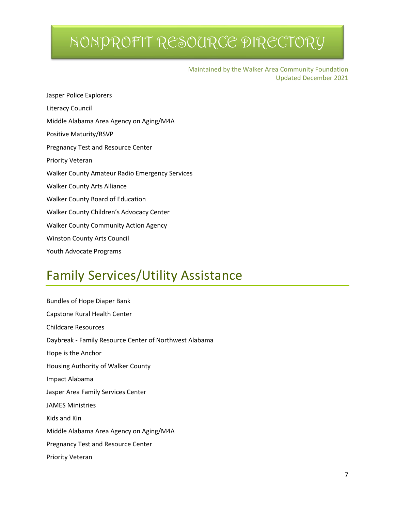Maintained by the Walker Area Community Foundation Updated December 2021

Jasper Police Explorers Literacy Council Middle Alabama Area Agency on Aging/M4A Positive Maturity/RSVP Pregnancy Test and Resource Center Priority Veteran Walker County Amateur Radio Emergency Services Walker County Arts Alliance Walker County Board of Education Walker County Children's Advocacy Center Walker County Community Action Agency Winston County Arts Council Youth Advocate Programs

### Family Services/Utility Assistance

Bundles of Hope Diaper Bank Capstone Rural Health Center Childcare Resources Daybreak - Family Resource Center of Northwest Alabama Hope is the Anchor Housing Authority of Walker County Impact Alabama Jasper Area Family Services Center JAMES Ministries Kids and Kin Middle Alabama Area Agency on Aging/M4A Pregnancy Test and Resource Center Priority Veteran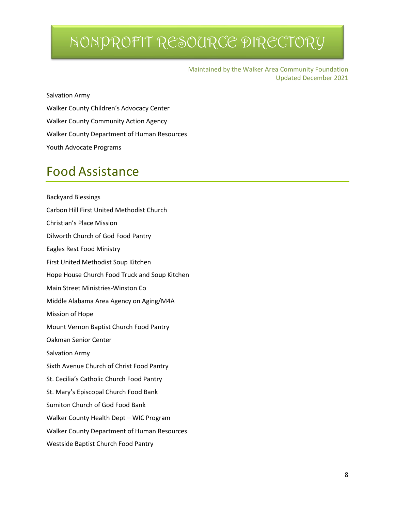Maintained by the Walker Area Community Foundation Updated December 2021

Salvation Army

Walker County Children's Advocacy Center Walker County Community Action Agency Walker County Department of Human Resources Youth Advocate Programs

### Food Assistance

Backyard Blessings Carbon Hill First United Methodist Church Christian's Place Mission Dilworth Church of God Food Pantry Eagles Rest Food Ministry First United Methodist Soup Kitchen Hope House Church Food Truck and Soup Kitchen Main Street Ministries-Winston Co Middle Alabama Area Agency on Aging/M4A Mission of Hope Mount Vernon Baptist Church Food Pantry Oakman Senior Center Salvation Army Sixth Avenue Church of Christ Food Pantry St. Cecilia's Catholic Church Food Pantry St. Mary's Episcopal Church Food Bank Sumiton Church of God Food Bank Walker County Health Dept – WIC Program Walker County Department of Human Resources Westside Baptist Church Food Pantry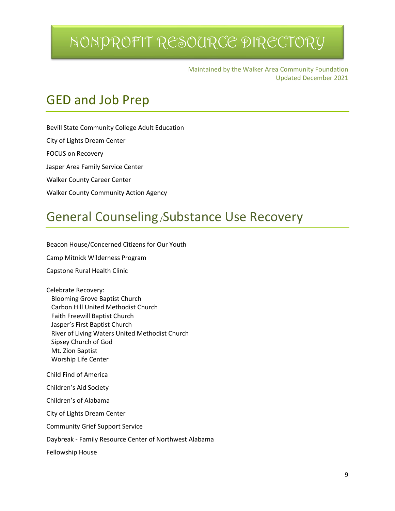Maintained by the Walker Area Community Foundation Updated December 2021

### GED and Job Prep

Bevill State Community College Adult Education City of Lights Dream Center

FOCUS on Recovery

Jasper Area Family Service Center

Walker County Career Center

Walker County Community Action Agency

### General Counseling/Substance Use Recovery

Beacon House/Concerned Citizens for Our Youth

Camp Mitnick Wilderness Program

Capstone Rural Health Clinic

Celebrate Recovery: Blooming Grove Baptist Church Carbon Hill United Methodist Church Faith Freewill Baptist Church Jasper's First Baptist Church River of Living Waters United Methodist Church Sipsey Church of God Mt. Zion Baptist Worship Life Center Child Find of America Children's Aid Society Children's of Alabama City of Lights Dream Center

Community Grief Support Service

Daybreak - Family Resource Center of Northwest Alabama

Fellowship House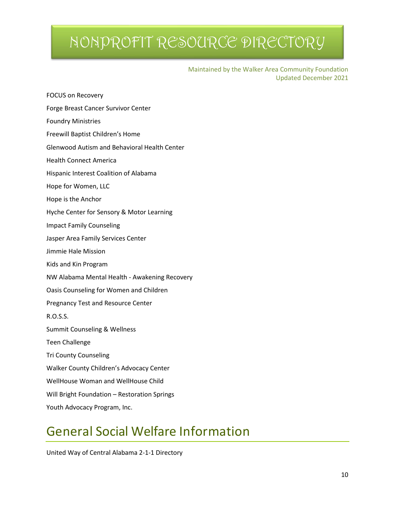Maintained by the Walker Area Community Foundation Updated December 2021

| Forge Breast Cancer Survivor Center                 |
|-----------------------------------------------------|
| <b>Foundry Ministries</b>                           |
| Freewill Baptist Children's Home                    |
| <b>Glenwood Autism and Behavioral Health Center</b> |
| <b>Health Connect America</b>                       |
| Hispanic Interest Coalition of Alabama              |
| Hope for Women, LLC                                 |
| Hope is the Anchor                                  |
| Hyche Center for Sensory & Motor Learning           |
| <b>Impact Family Counseling</b>                     |
| Jasper Area Family Services Center                  |
| Jimmie Hale Mission                                 |
| Kids and Kin Program                                |
| NW Alabama Mental Health - Awakening Recovery       |
| Oasis Counseling for Women and Children             |
| Pregnancy Test and Resource Center                  |
| R.O.S.S.                                            |
| Summit Counseling & Wellness                        |
| <b>Teen Challenge</b>                               |
| <b>Tri County Counseling</b>                        |
| Walker County Children's Advocacy Center            |
| WellHouse Woman and WellHouse Child                 |
| Will Bright Foundation - Restoration Springs        |
| Youth Advocacy Program, Inc.                        |

FOCUS on Recovery

### General Social Welfare Information

United Way of Central Alabama 2-1-1 Directory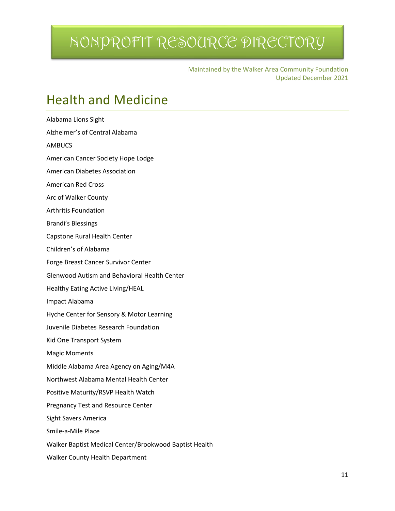Maintained by the Walker Area Community Foundation Updated December 2021

### Health and Medicine

Alabama Lions Sight Alzheimer's of Central Alabama AMBUCS American Cancer Society Hope Lodge American Diabetes Association American Red Cross Arc of Walker County Arthritis Foundation Brandi's Blessings Capstone Rural Health Center Children's of Alabama Forge Breast Cancer Survivor Center Glenwood Autism and Behavioral Health Center Healthy Eating Active Living/HEAL Impact Alabama Hyche Center for Sensory & Motor Learning Juvenile Diabetes Research Foundation Kid One Transport System Magic Moments Middle Alabama Area Agency on Aging/M4A Northwest Alabama Mental Health Center Positive Maturity/RSVP Health Watch Pregnancy Test and Resource Center Sight Savers America Smile-a-Mile Place Walker Baptist Medical Center/Brookwood Baptist Health Walker County Health Department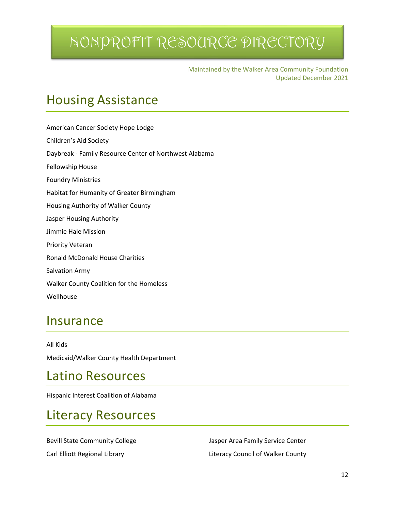Maintained by the Walker Area Community Foundation Updated December 2021

### Housing Assistance

American Cancer Society Hope Lodge Children's Aid Society Daybreak - Family Resource Center of Northwest Alabama Fellowship House Foundry Ministries Habitat for Humanity of Greater Birmingham Housing Authority of Walker County Jasper Housing Authority Jimmie Hale Mission Priority Veteran Ronald McDonald House Charities Salvation Army Walker County Coalition for the Homeless Wellhouse

### **Insurance**

All Kids Medicaid/Walker County Health Department

### Latino Resources

Hispanic Interest Coalition of Alabama

### Literacy Resources

Bevill State Community College **Area Family Service Center** Jasper Area Family Service Center

Carl Elliott Regional Library **Literacy Council of Walker County**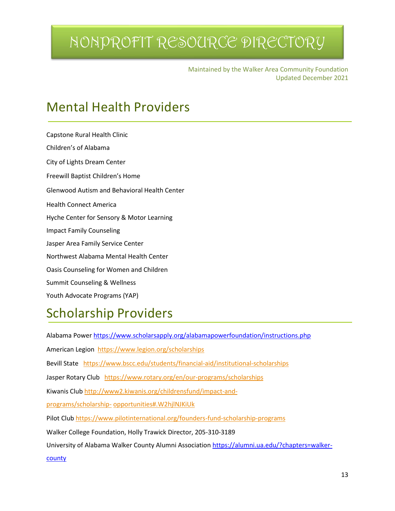Maintained by the Walker Area Community Foundation Updated December 2021

### Mental Health Providers

Capstone Rural Health Clinic Children's of Alabama City of Lights Dream Center Freewill Baptist Children's Home Glenwood Autism and Behavioral Health Center Health Connect America Hyche Center for Sensory & Motor Learning Impact Family Counseling Jasper Area Family Service Center Northwest Alabama Mental Health Center Oasis Counseling for Women and Children Summit Counseling & Wellness Youth Advocate Programs (YAP)

### Scholarship Providers

Alabama Power<https://www.scholarsapply.org/alabamapowerfoundation/instructions.php> American Legion<https://www.legion.org/scholarships> Bevill State <https://www.bscc.edu/students/financial-aid/institutional-scholarships> Jasper Rotary Club <https://www.rotary.org/en/our-programs/scholarships> Kiwanis Club [http://www2.kiwanis.org/childrensfund/impact-and](http://www2.kiwanis.org/childrensfund/impact-and-programs/scholarship-opportunities#.W2hjlNJKiUk)[programs/scholarship-](http://www2.kiwanis.org/childrensfund/impact-and-programs/scholarship-opportunities#.W2hjlNJKiUk) [opportunities#.W2hjlNJKiUk](http://www2.kiwanis.org/childrensfund/impact-and-programs/scholarship-opportunities#.W2hjlNJKiUk) Pilot Club <https://www.pilotinternational.org/founders-fund-scholarship-programs> Walker College Foundation, Holly Trawick Director, 205-310-3189 University of Alabama Walker County Alumni Association [https://alumni.ua.edu/?chapters=walker](https://alumni.ua.edu/?chapters=walker-county)[county](https://alumni.ua.edu/?chapters=walker-county)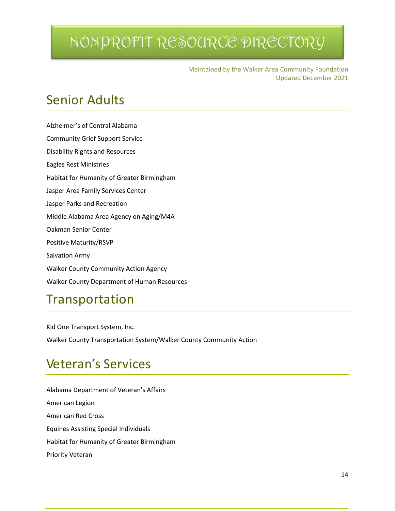Maintained by the Walker Area Community Foundation Updated December 2021

### Senior Adults

Alzheimer's of Central Alabama Community Grief Support Service Disability Rights and Resources Eagles Rest Ministries Habitat for Humanity of Greater Birmingham Jasper Area Family Services Center Jasper Parks and Recreation Middle Alabama Area Agency on Aging/M4A Oakman Senior Center Positive Maturity/RSVP Salvation Army Walker County Community Action Agency Walker County Department of Human Resources

### Transportation

Kid One Transport System, Inc. Walker County Transportation System/Walker County Community Action

### Veteran's Services

Alabama Department of Veteran's Affairs American Legion American Red Cross Equines Assisting Special Individuals Habitat for Humanity of Greater Birmingham Priority Veteran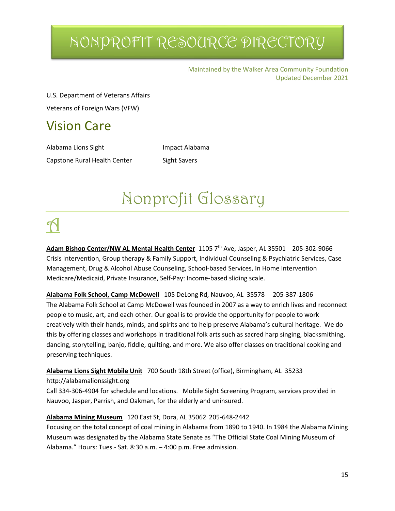Maintained by the Walker Area Community Foundation Updated December 2021

U.S. Department of Veterans Affairs Veterans of Foreign Wars (VFW)

### Vision Care

Alabama Lions Sight **Impact Alabama** Capstone Rural Health Center Sight Savers

# Nonprofit Glossary

Adam Bishop Center/NW AL Mental Health Center 1105 7<sup>th</sup> Ave, Jasper, AL 35501 205-302-9066 Crisis Intervention, Group therapy & Family Support, Individual Counseling & Psychiatric Services, Case Management, Drug & Alcohol Abuse Counseling, School-based Services, In Home Intervention Medicare/Medicaid, Private Insurance, Self-Pay: Income-based sliding scale.

**Alabama Folk School, Camp McDowell** 105 DeLong Rd, Nauvoo, AL 35578 205-387-1806 The Alabama Folk School at Camp McDowell was founded in 2007 as a way to enrich lives and reconnect people to music, art, and each other. Our goal is to provide the opportunity for people to work creatively with their hands, minds, and spirits and to help preserve Alabama's cultural heritage. We do this by offering classes and workshops in traditional folk arts such as sacred harp singing, blacksmithing, dancing, storytelling, banjo, fiddle, quilting, and more. We also offer classes on traditional cooking and preserving techniques.

### **Alabama Lions Sight Mobile Unit** 700 South 18th Street (office), Birmingham, AL 35233

#### http://alabamalionssight.org

Call 334-306-4904 for schedule and locations. Mobile Sight Screening Program, services provided in Nauvoo, Jasper, Parrish, and Oakman, for the elderly and uninsured.

### **Alabama Mining Museum** 120 East St, Dora, AL 35062 205-648-2442

Focusing on the total concept of coal mining in Alabama from 1890 to 1940. In 1984 the Alabama Mining Museum was designated by the Alabama State Senate as "The Official State Coal Mining Museum of Alabama." Hours: Tues.- Sat. 8:30 a.m. – 4:00 p.m. Free admission.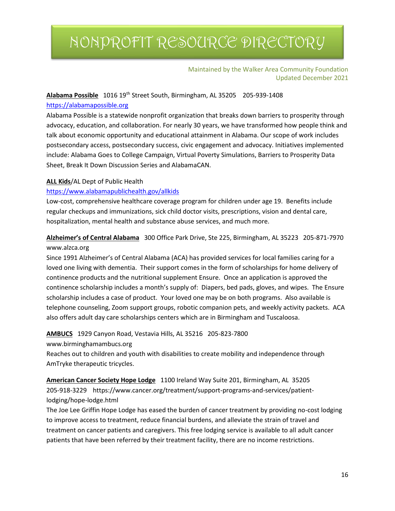#### Maintained by the Walker Area Community Foundation Updated December 2021

#### **Alabama Possible** 1016 19th Street South, Birmingham, AL 35205 205-939-1408 [https://alabamapossible.org](https://alabamapossible.org/)

Alabama Possible is a statewide nonprofit organization that breaks down barriers to prosperity through advocacy, education, and collaboration. For nearly 30 years, we have transformed how people think and talk about economic opportunity and educational attainment in Alabama. Our scope of work includes postsecondary access, postsecondary success, civic engagement and advocacy. Initiatives implemented include: Alabama Goes to College Campaign, Virtual Poverty Simulations, Barriers to Prosperity Data Sheet, Break It Down Discussion Series and AlabamaCAN.

#### **ALL Kids**/AL Dept of Public Health

#### <https://www.alabamapublichealth.gov/allkids>

Low-cost, comprehensive healthcare coverage program for children under age 19. Benefits include regular checkups and immunizations, sick child doctor visits, prescriptions, vision and dental care, hospitalization, mental health and substance abuse services, and much more.

### **Alzheimer's of Central Alabama** 300 Office Park Drive, Ste 225, Birmingham, AL 35223 205-871-7970 www.alzca.org

Since 1991 Alzheimer's of Central Alabama (ACA) has provided services for local families caring for a loved one living with dementia. Their support comes in the form of scholarships for home delivery of continence products and the nutritional supplement Ensure. Once an application is approved the continence scholarship includes a month's supply of: Diapers, bed pads, gloves, and wipes. The Ensure scholarship includes a case of product. Your loved one may be on both programs. Also available is telephone counseling, Zoom support groups, robotic companion pets, and weekly activity packets. ACA also offers adult day care scholarships centers which are in Birmingham and Tuscaloosa.

#### **AMBUCS** 1929 Canyon Road, Vestavia Hills, AL 35216 205-823-7800 www.birminghamambucs.org

Reaches out to children and youth with disabilities to create mobility and independence through

AmTryke therapeutic tricycles.

#### **American Cancer Society Hope Lodge** 1100 Ireland Way Suite 201, Birmingham, AL 35205 205-918-3229 https://www.cancer.org/treatment/support-programs-and-services/patientlodging/hope-lodge.html

The Joe Lee Griffin Hope Lodge has eased the burden of cancer treatment by providing no-cost lodging to improve access to treatment, reduce financial burdens, and alleviate the strain of travel and treatment on cancer patients and caregivers. This free lodging service is available to all adult cancer patients that have been referred by their treatment facility, there are no income restrictions.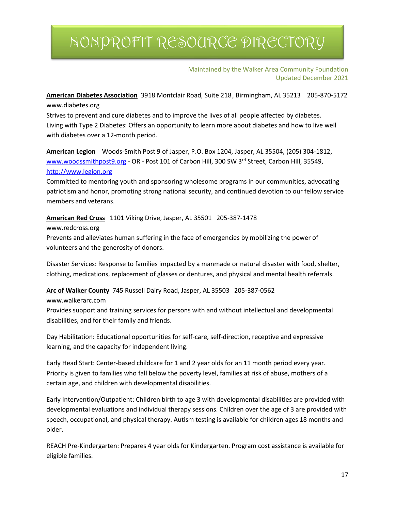Maintained by the Walker Area Community Foundation Updated December 2021

**American Diabetes Association** 3918 Montclair Road, Suite 218, Birmingham, AL 35213 205-870-5172 www.diabetes.org

Strives to prevent and cure diabetes and to improve the lives of all people affected by diabetes. Living with Type 2 Diabetes: Offers an opportunity to learn more about diabetes and how to live well with diabetes over a 12-month period.

**American Legion** Woods-Smith Post 9 of Jasper, P.O. Box 1204, Jasper, AL 35504, (205) 304-1812, [www.woodssmithpost9.org](http://www.woodssmithpost9.org/) - OR - Post 101 of Carbon Hill, 300 SW 3<sup>rd</sup> Street, Carbon Hill, 35549, [http://www.legion.org](http://www.legion.org/)

Committed to mentoring youth and sponsoring wholesome programs in our communities, advocating patriotism and honor, promoting strong national security, and continued devotion to our fellow service members and veterans.

**American Red Cross** 1101 Viking Drive, Jasper, AL 35501 205-387-1478 www.redcross.org

Prevents and alleviates human suffering in the face of emergencies by mobilizing the power of volunteers and the generosity of donors.

Disaster Services: Response to families impacted by a manmade or natural disaster with food, shelter, clothing, medications, replacement of glasses or dentures, and physical and mental health referrals.

**Arc of Walker County** 745 Russell Dairy Road, Jasper, AL 35503 205-387-0562

www.walkerarc.com

Provides support and training services for persons with and without intellectual and developmental disabilities, and for their family and friends.

Day Habilitation: Educational opportunities for self-care, self-direction, receptive and expressive learning, and the capacity for independent living.

Early Head Start: Center-based childcare for 1 and 2 year olds for an 11 month period every year. Priority is given to families who fall below the poverty level, families at risk of abuse, mothers of a certain age, and children with developmental disabilities.

Early Intervention/Outpatient: Children birth to age 3 with developmental disabilities are provided with developmental evaluations and individual therapy sessions. Children over the age of 3 are provided with speech, occupational, and physical therapy. Autism testing is available for children ages 18 months and older.

REACH Pre-Kindergarten: Prepares 4 year olds for Kindergarten. Program cost assistance is available for eligible families.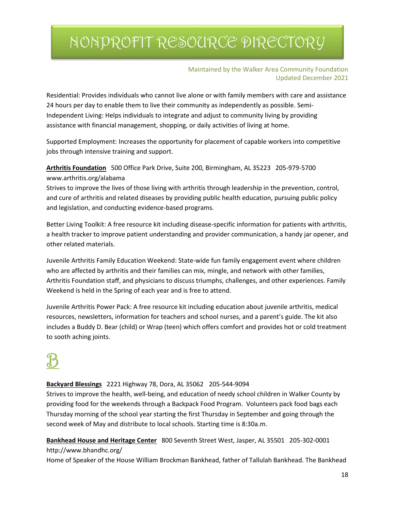#### Maintained by the Walker Area Community Foundation Updated December 2021

Residential: Provides individuals who cannot live alone or with family members with care and assistance 24 hours per day to enable them to live their community as independently as possible. Semi-Independent Living: Helps individuals to integrate and adjust to community living by providing assistance with financial management, shopping, or daily activities of living at home.

Supported Employment: Increases the opportunity for placement of capable workers into competitive jobs through intensive training and support.

**Arthritis Foundation** 500 Office Park Drive, Suite 200, Birmingham, AL 35223 205-979-5700 www.arthritis.org/alabama

Strives to improve the lives of those living with arthritis through leadership in the prevention, control, and cure of arthritis and related diseases by providing public health education, pursuing public policy and legislation, and conducting evidence-based programs.

Better Living Toolkit: A free resource kit including disease-specific information for patients with arthritis, a health tracker to improve patient understanding and provider communication, a handy jar opener, and other related materials.

Juvenile Arthritis Family Education Weekend: State-wide fun family engagement event where children who are affected by arthritis and their families can mix, mingle, and network with other families, Arthritis Foundation staff, and physicians to discuss triumphs, challenges, and other experiences. Family Weekend is held in the Spring of each year and is free to attend.

Juvenile Arthritis Power Pack: A free resource kit including education about juvenile arthritis, medical resources, newsletters, information for teachers and school nurses, and a parent's guide. The kit also includes a Buddy D. Bear (child) or Wrap (teen) which offers comfort and provides hot or cold treatment to sooth aching joints.

**Backyard Blessings** 2221 Highway 78, Dora, AL 35062 205-544-9094

Strives to improve the health, well-being, and education of needy school children in Walker County by providing food for the weekends through a Backpack Food Program. Volunteers pack food bags each Thursday morning of the school year starting the first Thursday in September and going through the second week of May and distribute to local schools. Starting time is 8:30a.m.

**Bankhead House and Heritage Center** 800 Seventh Street West, Jasper, AL 35501 205-302-0001 http://www.bhandhc.org/

Home of Speaker of the House William Brockman Bankhead, father of Tallulah Bankhead. The Bankhead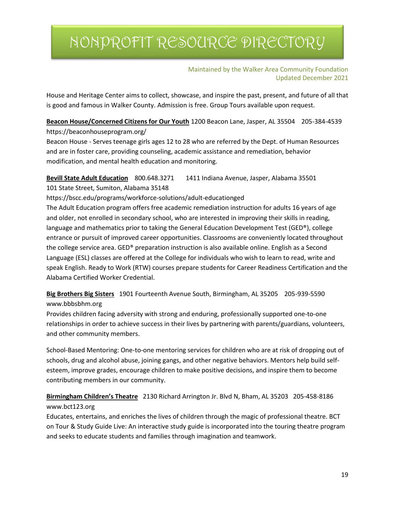Maintained by the Walker Area Community Foundation Updated December 2021

House and Heritage Center aims to collect, showcase, and inspire the past, present, and future of all that is good and famous in Walker County. Admission is free. Group Tours available upon request.

#### **Beacon House/Concerned Citizens for Our Youth** 1200 Beacon Lane, Jasper, AL 35504 205-384-4539 https://beaconhouseprogram.org/

Beacon House - Serves teenage girls ages 12 to 28 who are referred by the Dept. of Human Resources and are in foster care, providing counseling, academic assistance and remediation, behavior modification, and mental health education and monitoring.

### **Bevill State Adult Education** 800.648.3271 1411 Indiana Avenue, Jasper, Alabama 35501 101 State Street, Sumiton, Alabama 35148

https://bscc.edu/programs/workforce-solutions/adult-educationged

The Adult Education program offers free academic remediation instruction for adults 16 years of age and older, not enrolled in secondary school, who are interested in improving their skills in reading, language and mathematics prior to taking the General Education Development Test (GED®), college entrance or pursuit of improved career opportunities. Classrooms are conveniently located throughout the college service area. GED® preparation instruction is also available online. English as a Second Language (ESL) classes are offered at the College for individuals who wish to learn to read, write and speak English. Ready to Work (RTW) courses prepare students for Career Readiness Certification and the Alabama Certified Worker Credential.

### **Big Brothers Big Sisters** 1901 Fourteenth Avenue South, Birmingham, AL 35205 205-939-5590 www.bbbsbhm.org

Provides children facing adversity with strong and enduring, professionally supported one-to-one relationships in order to achieve success in their lives by partnering with parents/guardians, volunteers, and other community members.

School-Based Mentoring: One-to-one mentoring services for children who are at risk of dropping out of schools, drug and alcohol abuse, joining gangs, and other negative behaviors. Mentors help build selfesteem, improve grades, encourage children to make positive decisions, and inspire them to become contributing members in our community.

### **Birmingham Children's Theatre** 2130 Richard Arrington Jr. Blvd N, Bham, AL 35203 205-458-8186 www.bct123.org

Educates, entertains, and enriches the lives of children through the magic of professional theatre. BCT on Tour & Study Guide Live: An interactive study guide is incorporated into the touring theatre program and seeks to educate students and families through imagination and teamwork.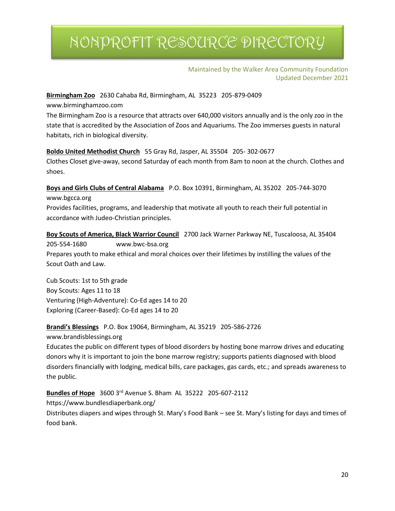#### Maintained by the Walker Area Community Foundation Updated December 2021

### **Birmingham Zoo** 2630 Cahaba Rd, Birmingham, AL 35223 205-879-0409

www.birminghamzoo.com

The Birmingham Zoo is a resource that attracts over 640,000 visitors annually and is the only zoo in the state that is accredited by the Association of Zoos and Aquariums. The Zoo immerses guests in natural habitats, rich in biological diversity.

#### **Boldo United Methodist Church** 55 Gray Rd, Jasper, AL 35504 205- 302-0677

Clothes Closet give-away, second Saturday of each month from 8am to noon at the church. Clothes and shoes.

**Boys and Girls Clubs of Central Alabama** P.O. Box 10391, Birmingham, AL 35202 205-744-3070 www.bgcca.org

Provides facilities, programs, and leadership that motivate all youth to reach their full potential in accordance with Judeo-Christian principles.

**Boy Scouts of America, Black Warrior Council** 2700 Jack Warner Parkway NE, Tuscaloosa, AL 35404 205-554-1680 www.bwc-bsa.org Prepares youth to make ethical and moral choices over their lifetimes by instilling the values of the Scout Oath and Law.

Cub Scouts: 1st to 5th grade Boy Scouts: Ages 11 to 18 Venturing (High-Adventure): Co-Ed ages 14 to 20 Exploring (Career-Based): Co-Ed ages 14 to 20

#### **Brandi's Blessings** P.O. Box 19064, Birmingham, AL 35219 205-586-2726

www.brandisblessings.org

Educates the public on different types of blood disorders by hosting bone marrow drives and educating donors why it is important to join the bone marrow registry; supports patients diagnosed with blood disorders financially with lodging, medical bills, care packages, gas cards, etc.; and spreads awareness to the public.

**Bundles of Hope** 3600 3rd Avenue S. Bham AL 35222 205-607-2112

https://www.bundlesdiaperbank.org/ Distributes diapers and wipes through St. Mary's Food Bank – see St. Mary's listing for days and times of food bank.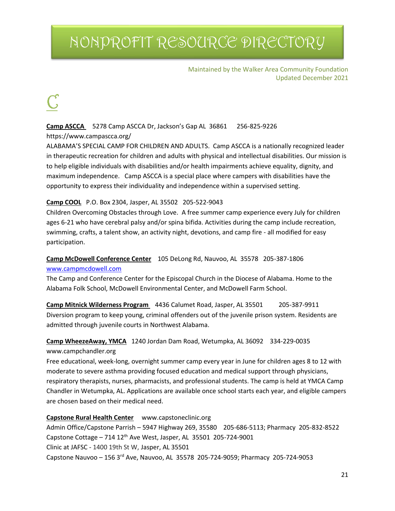#### Maintained by the Walker Area Community Foundation Updated December 2021

### **Camp ASCCA** 5278 Camp ASCCA Dr, Jackson's Gap AL 36861 256-825-9226

https://www.campascca.org/

ALABAMA'S SPECIAL CAMP FOR CHILDREN AND ADULTS. Camp ASCCA is a nationally recognized leader in therapeutic recreation for children and adults with physical and intellectual disabilities. Our mission is to help eligible individuals with disabilities and/or health impairments achieve equality, dignity, and maximum independence. Camp ASCCA is a special place where campers with disabilities have the opportunity to express their individuality and independence within a supervised setting.

#### **Camp COOL** P.O. Box 2304, Jasper, AL 35502 205-522-9043

Children Overcoming Obstacles through Love. A free summer camp experience every July for children ages 6-21 who have cerebral palsy and/or spina bifida. Activities during the camp include recreation, swimming, crafts, a talent show, an activity night, devotions, and camp fire - all modified for easy participation.

#### **Camp McDowell Conference Center** 105 DeLong Rd, Nauvoo, AL 35578 205-387-1806 [www.campmcdowell.com](http://www.campmcdowell.com/)

The Camp and Conference Center for the Episcopal Church in the Diocese of Alabama. Home to the Alabama Folk School, McDowell Environmental Center, and McDowell Farm School.

**Camp Mitnick Wilderness Program** 4436 Calumet Road, Jasper, AL 35501 205-387-9911 Diversion program to keep young, criminal offenders out of the juvenile prison system. Residents are admitted through juvenile courts in Northwest Alabama.

### **Camp WheezeAway, YMCA** 1240 Jordan Dam Road, Wetumpka, AL 36092 334-229-0035

#### www.campchandler.org

Free educational, week-long, overnight summer camp every year in June for children ages 8 to 12 with moderate to severe asthma providing focused education and medical support through physicians, respiratory therapists, nurses, pharmacists, and professional students. The camp is held at YMCA Camp Chandler in Wetumpka, AL. Applications are available once school starts each year, and eligible campers are chosen based on their medical need.

#### **Capstone Rural Health Center** www.capstoneclinic.org

Admin Office/Capstone Parrish – 5947 Highway 269, 35580 205-686-5113; Pharmacy 205-832-8522 Capstone Cottage – 714  $12^{th}$  Ave West, Jasper, AL 35501 205-724-9001 Clinic at JAFSC - 1400 19th St W, Jasper, AL 35501 Capstone Nauvoo – 156 3rd Ave, Nauvoo, AL 35578 205-724-9059; Pharmacy 205-724-9053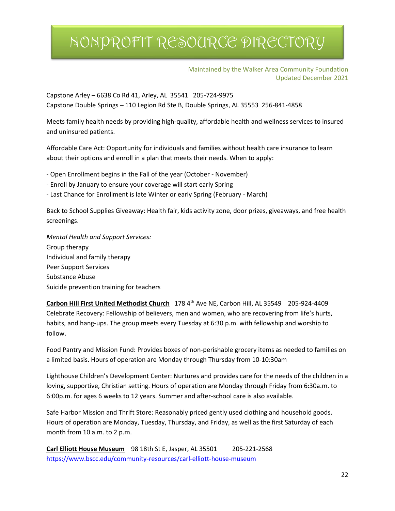#### Maintained by the Walker Area Community Foundation Updated December 2021

Capstone Arley – 6638 Co Rd 41, Arley, AL 35541 205-724-9975 Capstone Double Springs – 110 Legion Rd Ste B, Double Springs, AL 35553 256-841-4858

Meets family health needs by providing high-quality, affordable health and wellness services to insured and uninsured patients.

Affordable Care Act: Opportunity for individuals and families without health care insurance to learn about their options and enroll in a plan that meets their needs. When to apply:

- Open Enrollment begins in the Fall of the year (October - November)

- Enroll by January to ensure your coverage will start early Spring
- Last Chance for Enrollment is late Winter or early Spring (February March)

Back to School Supplies Giveaway: Health fair, kids activity zone, door prizes, giveaways, and free health screenings.

*Mental Health and Support Services:* Group therapy Individual and family therapy Peer Support Services Substance Abuse Suicide prevention training for teachers

**Carbon Hill First United Methodist Church** 178 4th Ave NE, Carbon Hill, AL 35549 205-924-4409 Celebrate Recovery: Fellowship of believers, men and women, who are recovering from life's hurts, habits, and hang-ups. The group meets every Tuesday at 6:30 p.m. with fellowship and worship to follow.

Food Pantry and Mission Fund: Provides boxes of non-perishable grocery items as needed to families on a limited basis. Hours of operation are Monday through Thursday from 10-10:30am

Lighthouse Children's Development Center: Nurtures and provides care for the needs of the children in a loving, supportive, Christian setting. Hours of operation are Monday through Friday from 6:30a.m. to 6:00p.m. for ages 6 weeks to 12 years. Summer and after-school care is also available.

Safe Harbor Mission and Thrift Store: Reasonably priced gently used clothing and household goods. Hours of operation are Monday, Tuesday, Thursday, and Friday, as well as the first Saturday of each month from 10 a.m. to 2 p.m.

**Carl Elliott House Museum** 98 18th St E, Jasper, AL 35501 205-221-2568 <https://www.bscc.edu/community-resources/carl-elliott-house-museum>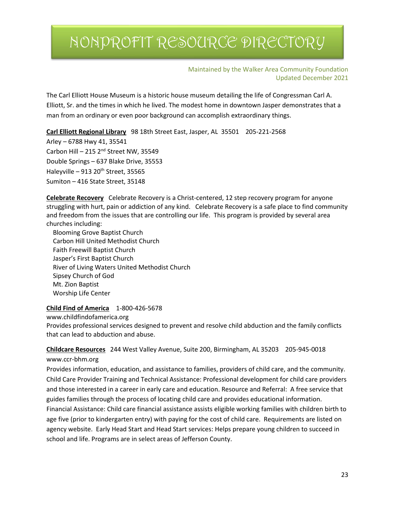Maintained by the Walker Area Community Foundation Updated December 2021

The Carl Elliott House Museum is a historic house museum detailing the life of Congressman Carl A. Elliott, Sr. and the times in which he lived. The modest home in downtown Jasper demonstrates that a man from an ordinary or even poor background can accomplish extraordinary things.

**Carl Elliott Regional Library** 98 18th Street East, Jasper, AL 35501 205-221-2568

Arley – 6788 Hwy 41, 35541 Carbon Hill – 215  $2<sup>nd</sup>$  Street NW, 35549 Double Springs – 637 Blake Drive, 35553 Haleyville – 913 20<sup>th</sup> Street, 35565 Sumiton – 416 State Street, 35148

**Celebrate Recovery** Celebrate Recovery is a Christ-centered, 12 step recovery program for anyone struggling with hurt, pain or addiction of any kind. Celebrate Recovery is a safe place to find community and freedom from the issues that are controlling our life. This program is provided by several area churches including:

 Blooming Grove Baptist Church Carbon Hill United Methodist Church Faith Freewill Baptist Church Jasper's First Baptist Church River of Living Waters United Methodist Church Sipsey Church of God Mt. Zion Baptist Worship Life Center

**Child Find of America** 1-800-426-5678

www.childfindofamerica.org

Provides professional services designed to prevent and resolve child abduction and the family conflicts that can lead to abduction and abuse.

**Childcare Resources** 244 West Valley Avenue, Suite 200, Birmingham, AL 35203 205-945-0018 www.ccr-bhm.org

Provides information, education, and assistance to families, providers of child care, and the community. Child Care Provider Training and Technical Assistance: Professional development for child care providers and those interested in a career in early care and education. Resource and Referral: A free service that guides families through the process of locating child care and provides educational information. Financial Assistance: Child care financial assistance assists eligible working families with children birth to age five (prior to kindergarten entry) with paying for the cost of child care. Requirements are listed on agency website. Early Head Start and Head Start services: Helps prepare young children to succeed in school and life. Programs are in select areas of Jefferson County.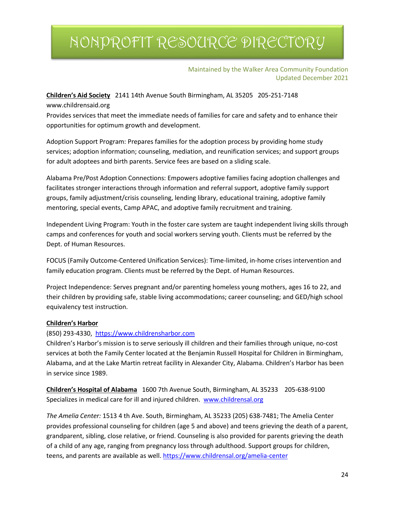#### Maintained by the Walker Area Community Foundation Updated December 2021

**Children's Aid Society** 2141 14th Avenue South Birmingham, AL 35205 205-251-7148 www.childrensaid.org

Provides services that meet the immediate needs of families for care and safety and to enhance their opportunities for optimum growth and development.

Adoption Support Program: Prepares families for the adoption process by providing home study services; adoption information; counseling, mediation, and reunification services; and support groups for adult adoptees and birth parents. Service fees are based on a sliding scale.

Alabama Pre/Post Adoption Connections: Empowers adoptive families facing adoption challenges and facilitates stronger interactions through information and referral support, adoptive family support groups, family adjustment/crisis counseling, lending library, educational training, adoptive family mentoring, special events, Camp APAC, and adoptive family recruitment and training.

Independent Living Program: Youth in the foster care system are taught independent living skills through camps and conferences for youth and social workers serving youth. Clients must be referred by the Dept. of Human Resources.

FOCUS (Family Outcome-Centered Unification Services): Time-limited, in-home crises intervention and family education program. Clients must be referred by the Dept. of Human Resources.

Project Independence: Serves pregnant and/or parenting homeless young mothers, ages 16 to 22, and their children by providing safe, stable living accommodations; career counseling; and GED/high school equivalency test instruction.

#### **Children's Harbor**

#### (850) 293-4330, [https://www.childrensharbor.com](https://www.childrensharbor.com/)

Children's Harbor's mission is to serve seriously ill children and their families through unique, no-cost services at both the Family Center located at the Benjamin Russell Hospital for Children in Birmingham, Alabama, and at the Lake Martin retreat facility in Alexander City, Alabama. Children's Harbor has been in service since 1989.

**Children's Hospital of Alabama** 1600 7th Avenue South, Birmingham, AL 35233 205-638-9100 Specializes in medical care for ill and injured children. [www.childrensal.org](http://www.childrensal.org/)

*The Amelia Center:* 1513 4 th Ave. South, Birmingham, AL 35233 (205) 638-7481; The Amelia Center provides professional counseling for children (age 5 and above) and teens grieving the death of a parent, grandparent, sibling, close relative, or friend. Counseling is also provided for parents grieving the death of a child of any age, ranging from pregnancy loss through adulthood. Support groups for children, teens, and parents are available as well[. https://www.childrensal.org/amelia-center](https://www.childrensal.org/amelia-center)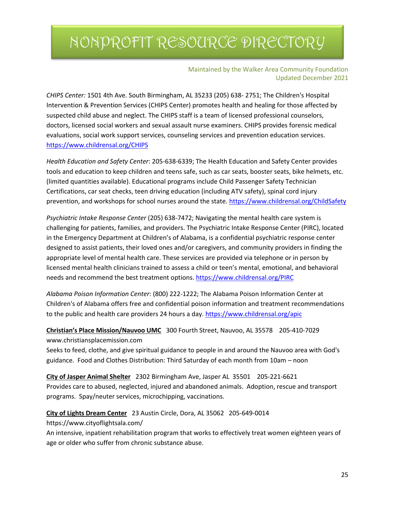#### Maintained by the Walker Area Community Foundation Updated December 2021

*CHIPS Center:* 1501 4th Ave. South Birmingham, AL 35233 (205) 638- 2751; The Children's Hospital Intervention & Prevention Services (CHIPS Center) promotes health and healing for those affected by suspected child abuse and neglect. The CHIPS staff is a team of licensed professional counselors, doctors, licensed social workers and sexual assault nurse examiners. CHIPS provides forensic medical evaluations, social work support services, counseling services and prevention education services. <https://www.childrensal.org/CHIPS>

*Health Education and Safety Center*: 205-638-6339; The Health Education and Safety Center provides tools and education to keep children and teens safe, such as car seats, booster seats, bike helmets, etc. (limited quantities available). Educational programs include Child Passenger Safety Technician Certifications, car seat checks, teen driving education (including ATV safety), spinal cord injury prevention, and workshops for school nurses around the state.<https://www.childrensal.org/ChildSafety>

*Psychiatric Intake Response Center* (205) 638-7472; Navigating the mental health care system is challenging for patients, families, and providers. The Psychiatric Intake Response Center (PIRC), located in the Emergency Department at Children's of Alabama, is a confidential psychiatric response center designed to assist patients, their loved ones and/or caregivers, and community providers in finding the appropriate level of mental health care. These services are provided via telephone or in person by licensed mental health clinicians trained to assess a child or teen's mental, emotional, and behavioral needs and recommend the best treatment options[. https://www.childrensal.org/PIRC](https://www.childrensal.org/PIRC)

*Alabama Poison Information Center*: (800) 222-1222; The Alabama Poison Information Center at Children's of Alabama offers free and confidential poison information and treatment recommendations to the public and health care providers 24 hours a day.<https://www.childrensal.org/apic>

### **Christian's Place Mission/Nauvoo UMC** 300 Fourth Street, Nauvoo, AL 35578 205-410-7029 www.christiansplacemission.com

Seeks to feed, clothe, and give spiritual guidance to people in and around the Nauvoo area with God's guidance. Food and Clothes Distribution: Third Saturday of each month from 10am – noon

**City of Jasper Animal Shelter** 2302 Birmingham Ave, Jasper AL 35501 205-221-6621 Provides care to abused, neglected, injured and abandoned animals. Adoption, rescue and transport programs. Spay/neuter services, microchipping, vaccinations.

#### **City of Lights Dream Center** 23 Austin Circle, Dora, AL 35062 205-649-0014

https://www.cityoflightsala.com/

An intensive, inpatient rehabilitation program that works to effectively treat women eighteen years of age or older who suffer from chronic substance abuse.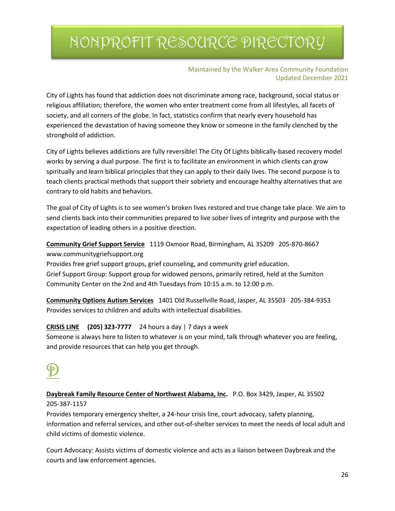#### Maintained by the Walker Area Community Foundation Updated December 2021

City of Lights has found that addiction does not discriminate among race, background, social status or religious affiliation; therefore, the women who enter treatment come from all lifestyles, all facets of society, and all corners of the globe. In fact, statistics confirm that nearly every household has experienced the devastation of having someone they know or someone in the family clenched by the stronghold of addiction.

City of Lights believes addictions are fully reversible! The City Of Lights biblically-based recovery model works by serving a dual purpose. The first is to facilitate an environment in which clients can grow spiritually and learn biblical principles that they can apply to their daily lives. The second purpose is to teach clients practical methods that support their sobriety and encourage healthy alternatives that are contrary to old habits and behaviors.

The goal of City of Lights is to see women's broken lives restored and true change take place. We aim to send clients back into their communities prepared to live sober lives of integrity and purpose with the expectation of leading others in a positive direction.

**Community Grief Support Service** 1119 Oxmoor Road, Birmingham, AL 35209 205-870-8667 www.communitygriefsupport.org

Provides free grief support groups, grief counseling, and community grief education. Grief Support Group: Support group for widowed persons, primarily retired, held at the Sumiton Community Center on the 2nd and 4th Tuesdays from 10:15 a.m. to 12:00 p.m.

**Community Options Autism Services** 1401 Old Russellville Road, Jasper, AL 35503 205-384-9353 Provides services to children and adults with intellectual disabilities.

#### **CRISIS LINE (205) 323-7777** 24 hours a day | 7 days a week

Someone is always here to listen to whatever is on your mind, talk through whatever you are feeling, and provide resources that can help you get through.

### **Daybreak Family Resource Center of Northwest Alabama, Inc.** P.O. Box 3429, Jasper, AL 35502 205-387-1157

Provides temporary emergency shelter, a 24-hour crisis line, court advocacy, safety planning, information and referral services, and other out-of-shelter services to meet the needs of local adult and child victims of domestic violence.

Court Advocacy: Assists victims of domestic violence and acts as a liaison between Daybreak and the courts and law enforcement agencies.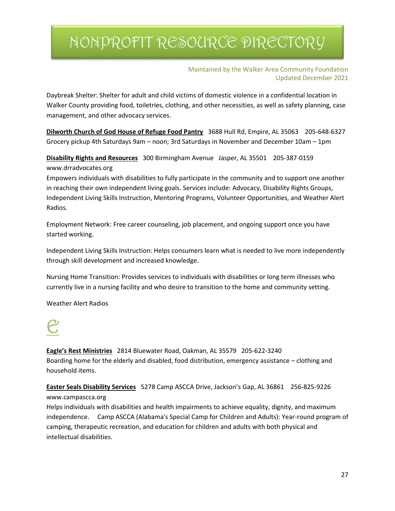Maintained by the Walker Area Community Foundation Updated December 2021

Daybreak Shelter: Shelter for adult and child victims of domestic violence in a confidential location in Walker County providing food, toiletries, clothing, and other necessities, as well as safety planning, case management, and other advocacy services.

**Dilworth Church of God House of Refuge Food Pantry** 3688 Hull Rd, Empire, AL 35063 205-648-6327 Grocery pickup 4th Saturdays 9am – noon; 3rd Saturdays in November and December 10am – 1pm

**Disability Rights and Resources** 300 Birmingham Avenue Jasper, AL 35501 205-387-0159 www.drradvocates.org

Empowers individuals with disabilities to fully participate in the community and to support one another in reaching their own independent living goals. Services include: Advocacy, Disability Rights Groups, Independent Living Skills Instruction, Mentoring Programs, Volunteer Opportunities, and Weather Alert Radios.

Employment Network: Free career counseling, job placement, and ongoing support once you have started working.

Independent Living Skills Instruction: Helps consumers learn what is needed to live more independently through skill development and increased knowledge.

Nursing Home Transition: Provides services to individuals with disabilities or long term illnesses who currently live in a nursing facility and who desire to transition to the home and community setting.

Weather Alert Radios



**Eagle's Rest Ministries** 2814 Bluewater Road, Oakman, AL 35579 205-622-3240 Boarding home for the elderly and disabled, food distribution, emergency assistance – clothing and household items.

**Easter Seals Disability Services** 5278 Camp ASCCA Drive, Jackson's Gap, AL 36861 256-825-9226 www.campascca.org

Helps individuals with disabilities and health impairments to achieve equality, dignity, and maximum independence. Camp ASCCA (Alabama's Special Camp for Children and Adults): Year-round program of camping, therapeutic recreation, and education for children and adults with both physical and intellectual disabilities.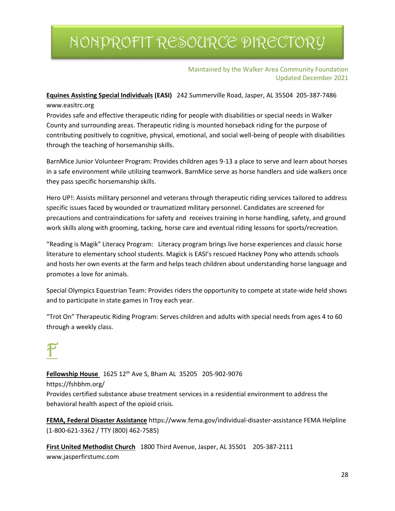#### Maintained by the Walker Area Community Foundation Updated December 2021

**Equines Assisting Special Individuals (EASI)** 242 Summerville Road, Jasper, AL 35504 205-387-7486 www.easitrc.org

Provides safe and effective therapeutic riding for people with disabilities or special needs in Walker County and surrounding areas. Therapeutic riding is mounted horseback riding for the purpose of contributing positively to cognitive, physical, emotional, and social well-being of people with disabilities through the teaching of horsemanship skills.

BarnMice Junior Volunteer Program: Provides children ages 9-13 a place to serve and learn about horses in a safe environment while utilizing teamwork. BarnMice serve as horse handlers and side walkers once they pass specific horsemanship skills.

Hero UP!: Assists military personnel and veterans through therapeutic riding services tailored to address specific issues faced by wounded or traumatized military personnel. Candidates are screened for precautions and contraindications for safety and receives training in horse handling, safety, and ground work skills along with grooming, tacking, horse care and eventual riding lessons for sports/recreation.

"Reading is Magik" Literacy Program: Literacy program brings live horse experiences and classic horse literature to elementary school students. Magick is EASI's rescued Hackney Pony who attends schools and hosts her own events at the farm and helps teach children about understanding horse language and promotes a love for animals.

Special Olympics Equestrian Team: Provides riders the opportunity to compete at state-wide held shows and to participate in state games in Troy each year.

"Trot On" Therapeutic Riding Program: Serves children and adults with special needs from ages 4 to 60 through a weekly class.

**Fellowship House** 1625 12<sup>th</sup> Ave S, Bham AL 35205 205-902-9076 https://fshbhm.org/ Provides certified substance abuse treatment services in a residential environment to address the behavioral health aspect of the opioid crisis.

**FEMA, Federal Disaster Assistance** https://www.fema.gov/individual-disaster-assistance FEMA Helpline (1-800-621-3362 / TTY (800) 462-7585)

**First United Methodist Church** 1800 Third Avenue, Jasper, AL 35501 205-387-2111 www.jasperfirstumc.com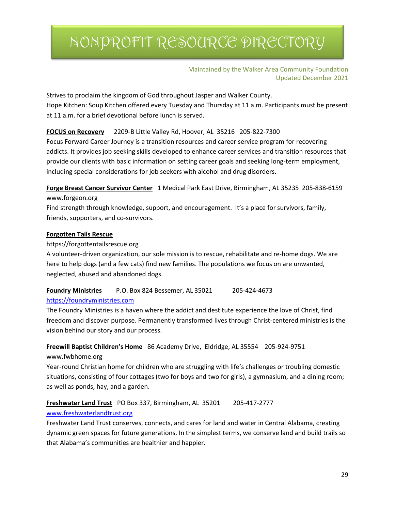#### Maintained by the Walker Area Community Foundation Updated December 2021

Strives to proclaim the kingdom of God throughout Jasper and Walker County. Hope Kitchen: Soup Kitchen offered every Tuesday and Thursday at 11 a.m. Participants must be present at 11 a.m. for a brief devotional before lunch is served.

#### **FOCUS on Recovery** 2209-B Little Valley Rd, Hoover, AL 35216 205-822-7300

Focus Forward Career Journey is a transition resources and career service program for recovering addicts. It provides job seeking skills developed to enhance career services and transition resources that provide our clients with basic information on setting career goals and seeking long-term employment, including special considerations for job seekers with alcohol and drug disorders.

**Forge Breast Cancer Survivor Center** 1 Medical Park East Drive, Birmingham, AL 35235 205-838-6159 www.forgeon.org

Find strength through knowledge, support, and encouragement. It's a place for survivors, family, friends, supporters, and co-survivors.

#### **Forgotten Tails Rescue**

#### https://forgottentailsrescue.org

A volunteer-driven organization, our sole mission is to rescue, rehabilitate and re-home dogs. We are here to help dogs (and a few cats) find new families. The populations we focus on are unwanted, neglected, abused and abandoned dogs.

**Foundry Ministries** P.O. Box 824 Bessemer, AL 35021 205-424-4673

#### [https://foundryministries.com](https://foundryministries.com/)

The Foundry Ministries is a haven where the addict and destitute experience the love of Christ, find freedom and discover purpose. Permanently transformed lives through Christ-centered ministries is the vision behind our story and our process.

#### **Freewill Baptist Children's Home** 86 Academy Drive, Eldridge, AL 35554 205-924-9751

www.fwbhome.org

Year-round Christian home for children who are struggling with life's challenges or troubling domestic situations, consisting of four cottages (two for boys and two for girls), a gymnasium, and a dining room; as well as ponds, hay, and a garden.

### **Freshwater Land Trust** PO Box 337, Birmingham, AL 35201 205-417-2777

#### [www.freshwaterlandtrust.org](http://www.freshwaterlandtrust.org/)

Freshwater Land Trust conserves, connects, and cares for land and water in Central Alabama, creating dynamic green spaces for future generations. In the simplest terms, we conserve land and build trails so that Alabama's communities are healthier and happier.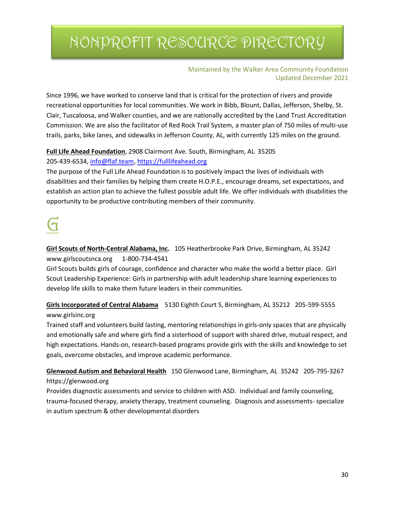#### Maintained by the Walker Area Community Foundation Updated December 2021

Since 1996, we have worked to conserve land that is critical for the protection of rivers and provide recreational opportunities for local communities. We work in Bibb, Blount, Dallas, Jefferson, Shelby, St. Clair, Tuscaloosa, and Walker counties, and we are nationally accredited by the Land Trust Accreditation Commission. We are also the facilitator of Red Rock Trail System, a master plan of 750 miles of multi-use trails, parks, bike lanes, and sidewalks in Jefferson County, AL, with currently 125 miles on the ground.

### **Full Life Ahead Foundation**, 2908 Clairmont Ave. South, Birmingham, AL 35205

205-439-6534[, info@flaf.team,](mailto:info@flaf.team) [https://fulllifeahead.org](https://fulllifeahead.org/)

The purpose of the Full Life Ahead Foundation is to positively impact the lives of individuals with disabilities and their families by helping them create H.O.P.E., encourage dreams, set expectations, and establish an action plan to achieve the fullest possible adult life. We offer individuals with disabilities the opportunity to be productive contributing members of their community.

# $\overline{\mathbf{d}}$

**Girl Scouts of North-Central Alabama, Inc.** 105 Heatherbrooke Park Drive, Birmingham, AL 35242 www.girlscoutsnca.org 1-800-734-4541

Girl Scouts builds girls of courage, confidence and character who make the world a better place. Girl Scout Leadership Experience: Girls in partnership with adult leadership share learning experiences to develop life skills to make them future leaders in their communities.

### **Girls Incorporated of Central Alabama** 5130 Eighth Court S, Birmingham, AL 35212 205-599-5555 www.girlsinc.org

Trained staff and volunteers build lasting, mentoring relationships in girls-only spaces that are physically and emotionally safe and where girls find a sisterhood of support with shared drive, mutual respect, and high expectations. Hands-on, research-based programs provide girls with the skills and knowledge to set goals, overcome obstacles, and improve academic performance.

### **Glenwood Autism and Behavioral Health** 150 Glenwood Lane, Birmingham, AL 35242 205-795-3267 https://glenwood.org

Provides diagnostic assessments and service to children with ASD. Individual and family counseling, trauma-focused therapy, anxiety therapy, treatment counseling. Diagnosis and assessments- specialize in autism spectrum & other developmental disorders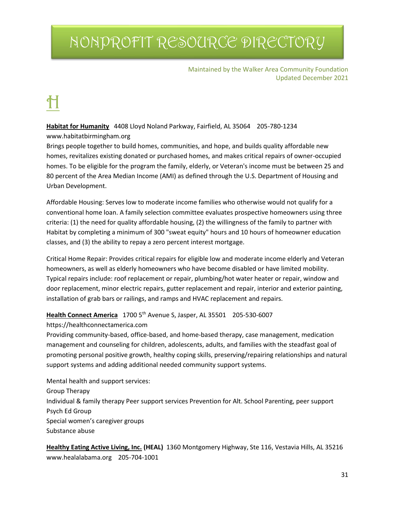Maintained by the Walker Area Community Foundation Updated December 2021

**Habitat for Humanity** 4408 Lloyd Noland Parkway, Fairfield, AL 35064 205-780-1234 www.habitatbirmingham.org

Brings people together to build homes, communities, and hope, and builds quality affordable new homes, revitalizes existing donated or purchased homes, and makes critical repairs of owner-occupied homes. To be eligible for the program the family, elderly, or Veteran's income must be between 25 and 80 percent of the Area Median Income (AMI) as defined through the U.S. Department of Housing and Urban Development.

Affordable Housing: Serves low to moderate income families who otherwise would not qualify for a conventional home loan. A family selection committee evaluates prospective homeowners using three criteria: (1) the need for quality affordable housing, (2) the willingness of the family to partner with Habitat by completing a minimum of 300 "sweat equity" hours and 10 hours of homeowner education classes, and (3) the ability to repay a zero percent interest mortgage.

Critical Home Repair: Provides critical repairs for eligible low and moderate income elderly and Veteran homeowners, as well as elderly homeowners who have become disabled or have limited mobility. Typical repairs include: roof replacement or repair, plumbing/hot water heater or repair, window and door replacement, minor electric repairs, gutter replacement and repair, interior and exterior painting, installation of grab bars or railings, and ramps and HVAC replacement and repairs.

**Health Connect America** 1700 5th Avenue S, Jasper, AL 35501 205-530-6007

https://healthconnectamerica.com

Providing community-based, office-based, and home-based therapy, case management, medication management and counseling for children, adolescents, adults, and families with the steadfast goal of promoting personal positive growth, healthy coping skills, preserving/repairing relationships and natural support systems and adding additional needed community support systems.

Mental health and support services: Group Therapy Individual & family therapy Peer support services Prevention for Alt. School Parenting, peer support Psych Ed Group Special women's caregiver groups Substance abuse

**Healthy Eating Active Living, Inc. (HEAL)** 1360 Montgomery Highway, Ste 116, Vestavia Hills, AL 35216 www.healalabama.org 205-704-1001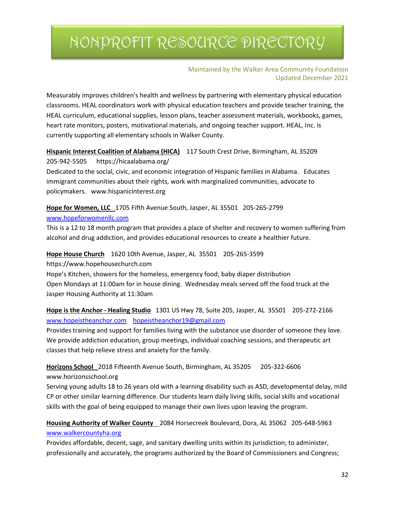Maintained by the Walker Area Community Foundation Updated December 2021

Measurably improves children's health and wellness by partnering with elementary physical education classrooms. HEAL coordinators work with physical education teachers and provide teacher training, the HEAL curriculum, educational supplies, lesson plans, teacher assessment materials, workbooks, games, heart rate monitors, posters, motivational materials, and ongoing teacher support. HEAL, Inc. is currently supporting all elementary schools in Walker County.

#### **Hispanic Interest Coalition of Alabama (HICA)** 117 South Crest Drive, Birmingham, AL 35209

205-942-5505 https://hicaalabama.org/

Dedicated to the social, civic, and economic integration of Hispanic families in Alabama. Educates immigrant communities about their rights, work with marginalized communities, advocate to policymakers. www.hispanicinterest.org

**Hope for Women, LLC** 1705 Fifth Avenue South, Jasper, AL 35501 205-265-2799

#### [www.hopeforwomenllc.com](http://www.hopeforwomenllc.com/)

This is a 12 to 18 month program that provides a place of shelter and recovery to women suffering from alcohol and drug addiction, and provides educational resources to create a healthier future.

**Hope House Church** 1620 10th Avenue, Jasper, AL 35501 205-265-3599

https://www.hopehousechurch.com

Hope's Kitchen, showers for the homeless, emergency food, baby diaper distribution Open Mondays at 11:00am for in house dining. Wednesday meals served off the food truck at the Jasper Housing Authority at 11:30am

**Hope is the Anchor - Healing Studio** 1301 US Hwy 78, Suite 205, Jasper, AL 35501 205-272-2166 [www.hopeistheanchor.com](http://www.hopeistheanchor.com/) [hopeistheanchor19@gmail.com](mailto:hopeistheanchor19@gmail.com)

Provides training and support for families living with the substance use disorder of someone they love. We provide addiction education, group meetings, individual coaching sessions, and therapeutic art classes that help relieve stress and anxiety for the family.

**Horizons School** 2018 Fifteenth Avenue South, Birmingham, AL 35205 205-322-6606 www.horizonsschool.org

Serving young adults 18 to 26 years old with a learning disability such as ASD, developmental delay, mild CP or other similar learning difference. Our students learn daily living skills, social skills and vocational skills with the goal of being equipped to manage their own lives upon leaving the program.

**Housing Authority of Walker County** 2084 Horsecreek Boulevard, Dora, AL 35062 205-648-5963 [www.walkercountyha.org](http://www.walkercountyha.org/)

Provides affordable, decent, sage, and sanitary dwelling units within its jurisdiction; to administer, professionally and accurately, the programs authorized by the Board of Commissioners and Congress;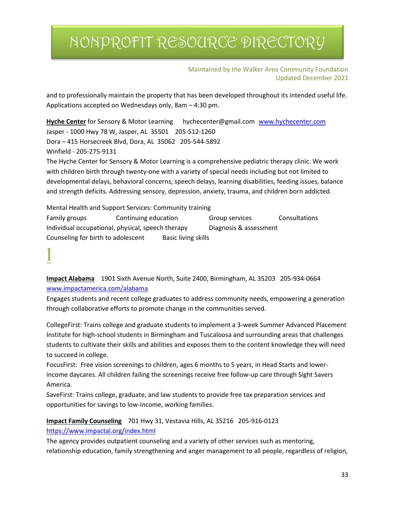Maintained by the Walker Area Community Foundation Updated December 2021

and to professionally maintain the property that has been developed throughout its intended useful life. Applications accepted on Wednesdays only, 8am – 4:30 pm.

**Hyche Center** for Sensory & Motor Learning hychecenter@gmail.com [www.hychecenter.com](http://www.hychecenter.com/) Jasper - 1000 Hwy 78 W, Jasper, AL 35501 205-512-1260 Dora – 415 Horsecreek Blvd, Dora, AL 35062 205-544-5892 Winfield - 205-275-9131

The Hyche Center for Sensory & Motor Learning is a comprehensive pediatric therapy clinic. We work with children birth through twenty-one with a variety of special needs including but not limited to developmental delays, behavioral concerns, speech delays, learning disabilities, feeding issues, balance and strength deficits. Addressing sensory, depression, anxiety, trauma, and children born addicted.

Mental Health and Support Services: Community training Family groups Continuing education Group services Consultations Individual occupational, physical, speech therapy Diagnosis & assessment Counseling for birth to adolescent Basic living skills

**Impact Alabama** 1901 Sixth Avenue North, Suite 2400, Birmingham, AL 35203 205-934-0664 [www.impactamerica.com/alabama](http://www.impactamerica.com/alabama)

Engages students and recent college graduates to address community needs, empowering a generation through collaborative efforts to promote change in the communities served.

CollegeFirst: Trains college and graduate students to implement a 3-week Summer Advanced Placement Institute for high-school students in Birmingham and Tuscaloosa and surrounding areas that challenges students to cultivate their skills and abilities and exposes them to the content knowledge they will need to succeed in college.

FocusFirst: Free vision screenings to children, ages 6 months to 5 years, in Head Starts and lowerincome daycares. All children failing the screenings receive free follow-up care through Sight Savers America.

SaveFirst: Trains college, graduate, and law students to provide free tax preparation services and opportunities for savings to low-income, working families.

**Impact Family Counseling** 701 Hwy 31, Vestavia Hills, AL 35216 205-916-0123 <https://www.impactal.org/index.html>

The agency provides outpatient counseling and a variety of other services such as mentoring, relationship education, family strengthening and anger management to all people, regardless of religion,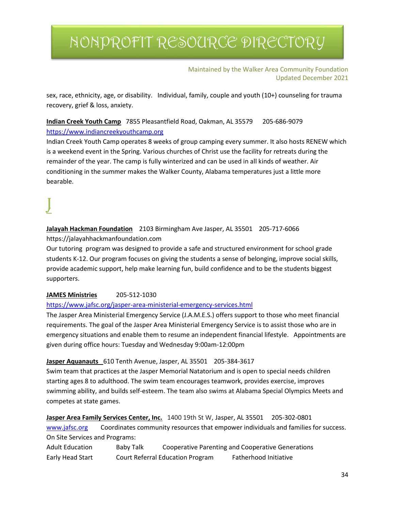#### Maintained by the Walker Area Community Foundation Updated December 2021

sex, race, ethnicity, age, or disability. Individual, family, couple and youth (10+) counseling for trauma recovery, grief & loss, anxiety.

**Indian Creek Youth Camp** 7855 Pleasantfield Road, Oakman, AL 35579 205-686-9079 [https://www.indiancreekyouthcamp.org](https://www.indiancreekyouthcamp.org/)

Indian Creek Youth Camp operates 8 weeks of group camping every summer. It also hosts RENEW which is a weekend event in the Spring. Various churches of Christ use the facility for retreats during the remainder of the year. The camp is fully winterized and can be used in all kinds of weather. Air conditioning in the summer makes the Walker County, Alabama temperatures just a little more bearable.

**Jalayah Hackman Foundation** 2103 Birmingham Ave Jasper, AL 35501 205-717-6066 https://jalayahhackmanfoundation.com

Our tutoring program was designed to provide a safe and structured environment for school grade students K-12. Our program focuses on giving the students a sense of belonging, improve social skills, provide academic support, help make learning fun, build confidence and to be the students biggest supporters.

#### **JAMES Ministries** 205-512-1030

#### <https://www.jafsc.org/jasper-area-ministerial-emergency-services.html>

The Jasper Area Ministerial Emergency Service (J.A.M.E.S.) offers support to those who meet financial requirements. The goal of the Jasper Area Ministerial Emergency Service is to assist those who are in emergency situations and enable them to resume an independent financial lifestyle. Appointments are given during office hours: Tuesday and Wednesday 9:00am-12:00pm

#### **Jasper Aquanauts** 610 Tenth Avenue, Jasper, AL 35501 205-384-3617

Swim team that practices at the Jasper Memorial Natatorium and is open to special needs children starting ages 8 to adulthood. The swim team encourages teamwork, provides exercise, improves swimming ability, and builds self-esteem. The team also swims at Alabama Special Olympics Meets and competes at state games.

**Jasper Area Family Services Center, Inc.** 1400 19th St W, Jasper, AL 35501 205-302-0801

[www.jafsc.org](http://www.jafsc.org/) Coordinates community resources that empower individuals and families for success. On Site Services and Programs:

| <b>Adult Education</b> | Baby Talk |                                         | Cooperative Parenting and Cooperative Generations |
|------------------------|-----------|-----------------------------------------|---------------------------------------------------|
| Early Head Start       |           | <b>Court Referral Education Program</b> | <b>Fatherhood Initiative</b>                      |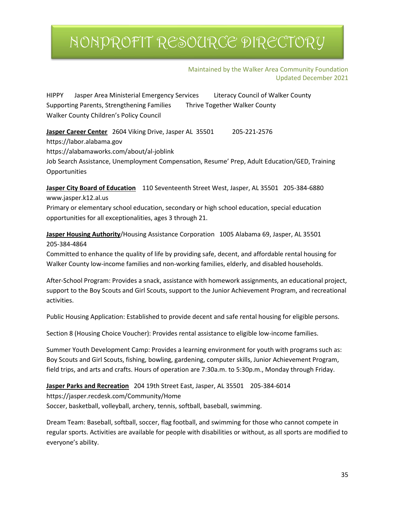Maintained by the Walker Area Community Foundation Updated December 2021

HIPPY Jasper Area Ministerial Emergency Services Literacy Council of Walker County Supporting Parents, Strengthening Families Thrive Together Walker County Walker County Children's Policy Council

**Jasper Career Center** 2604 Viking Drive, Jasper AL 35501 205-221-2576 https://labor.alabama.gov https://alabamaworks.com/about/al-joblink Job Search Assistance, Unemployment Compensation, Resume' Prep, Adult Education/GED, Training **Opportunities** 

**Jasper City Board of Education** 110 Seventeenth Street West, Jasper, AL 35501 205-384-6880 www.jasper.k12.al.us

Primary or elementary school education, secondary or high school education, special education opportunities for all exceptionalities, ages 3 through 21.

**Jasper Housing Authority**/Housing Assistance Corporation 1005 Alabama 69, Jasper, AL 35501 205-384-4864

Committed to enhance the quality of life by providing safe, decent, and affordable rental housing for Walker County low-income families and non-working families, elderly, and disabled households.

After-School Program: Provides a snack, assistance with homework assignments, an educational project, support to the Boy Scouts and Girl Scouts, support to the Junior Achievement Program, and recreational activities.

Public Housing Application: Established to provide decent and safe rental housing for eligible persons.

Section 8 (Housing Choice Voucher): Provides rental assistance to eligible low-income families.

Summer Youth Development Camp: Provides a learning environment for youth with programs such as: Boy Scouts and Girl Scouts, fishing, bowling, gardening, computer skills, Junior Achievement Program, field trips, and arts and crafts. Hours of operation are 7:30a.m. to 5:30p.m., Monday through Friday.

**Jasper Parks and Recreation** 204 19th Street East, Jasper, AL 35501 205-384-6014 https://jasper.recdesk.com/Community/Home Soccer, basketball, volleyball, archery, tennis, softball, baseball, swimming.

Dream Team: Baseball, softball, soccer, flag football, and swimming for those who cannot compete in regular sports. Activities are available for people with disabilities or without, as all sports are modified to everyone's ability.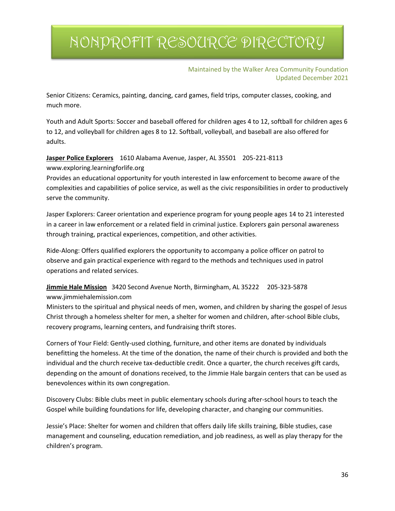Maintained by the Walker Area Community Foundation Updated December 2021

Senior Citizens: Ceramics, painting, dancing, card games, field trips, computer classes, cooking, and much more.

Youth and Adult Sports: Soccer and baseball offered for children ages 4 to 12, softball for children ages 6 to 12, and volleyball for children ages 8 to 12. Softball, volleyball, and baseball are also offered for adults.

**Jasper Police Explorers** 1610 Alabama Avenue, Jasper, AL 35501 205-221-8113

www.exploring.learningforlife.org

Provides an educational opportunity for youth interested in law enforcement to become aware of the complexities and capabilities of police service, as well as the civic responsibilities in order to productively serve the community.

Jasper Explorers: Career orientation and experience program for young people ages 14 to 21 interested in a career in law enforcement or a related field in criminal justice. Explorers gain personal awareness through training, practical experiences, competition, and other activities.

Ride-Along: Offers qualified explorers the opportunity to accompany a police officer on patrol to observe and gain practical experience with regard to the methods and techniques used in patrol operations and related services.

### **Jimmie Hale Mission** 3420 Second Avenue North, Birmingham, AL 35222 205-323-5878 www.jimmiehalemission.com

Ministers to the spiritual and physical needs of men, women, and children by sharing the gospel of Jesus Christ through a homeless shelter for men, a shelter for women and children, after-school Bible clubs, recovery programs, learning centers, and fundraising thrift stores.

Corners of Your Field: Gently-used clothing, furniture, and other items are donated by individuals benefitting the homeless. At the time of the donation, the name of their church is provided and both the individual and the church receive tax-deductible credit. Once a quarter, the church receives gift cards, depending on the amount of donations received, to the Jimmie Hale bargain centers that can be used as benevolences within its own congregation.

Discovery Clubs: Bible clubs meet in public elementary schools during after-school hours to teach the Gospel while building foundations for life, developing character, and changing our communities.

Jessie's Place: Shelter for women and children that offers daily life skills training, Bible studies, case management and counseling, education remediation, and job readiness, as well as play therapy for the children's program.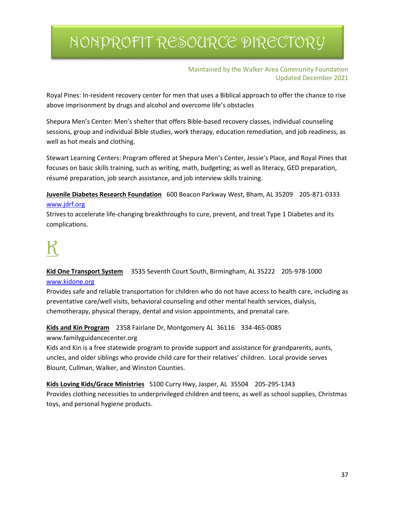#### Maintained by the Walker Area Community Foundation Updated December 2021

Royal Pines: In-resident recovery center for men that uses a Biblical approach to offer the chance to rise above imprisonment by drugs and alcohol and overcome life's obstacles

Shepura Men's Center: Men's shelter that offers Bible-based recovery classes, individual counseling sessions, group and individual Bible studies, work therapy, education remediation, and job readiness, as well as hot meals and clothing.

Stewart Learning Centers: Program offered at Shepura Men's Center, Jessie's Place, and Royal Pines that focuses on basic skills training, such as writing, math, budgeting; as well as literacy, GED preparation, résumé preparation, job search assistance, and job interview skills training.

**Juvenile Diabetes Research Foundation** 600 Beacon Parkway West, Bham, AL 35209 205-871-0333 [www.jdrf.org](http://www.jdrf.org/)

Strives to accelerate life-changing breakthroughs to cure, prevent, and treat Type 1 Diabetes and its complications.

#### **Kid One Transport System** 3535 Seventh Court South, Birmingham, AL 35222 205-978-1000 [www.kidone.org](http://www.kidone.org/)

Provides safe and reliable transportation for children who do not have access to health care, including as preventative care/well visits, behavioral counseling and other mental health services, dialysis, chemotherapy, physical therapy, dental and vision appointments, and prenatal care.

**Kids and Kin Program** 2358 Fairlane Dr, Montgomery AL 36116 334-465-0085

www.familyguidancecenter.org

Kids and Kin is a free statewide program to provide support and assistance for grandparents, aunts, uncles, and older siblings who provide child care for their relatives' children. Local provide serves Blount, Cullman, Walker, and Winston Counties.

**Kids Loving Kids/Grace Ministries** 5100 Curry Hwy, Jasper, AL 35504 205-295-1343 Provides clothing necessities to underprivileged children and teens, as well as school supplies, Christmas toys, and personal hygiene products.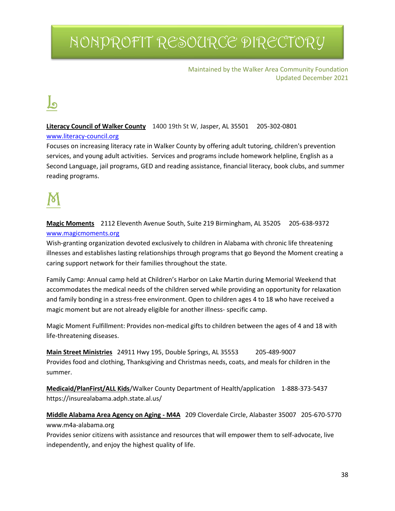#### Maintained by the Walker Area Community Foundation Updated December 2021

# <u>ما</u>

#### **Literacy Council of Walker County** 1400 19th St W, Jasper, AL 35501 205-302-0801

#### [www.literacy-council.org](http://www.literacy-council.org/)

Focuses on increasing literacy rate in Walker County by offering adult tutoring, children's prevention services, and young adult activities. Services and programs include homework helpline, English as a Second Language, jail programs, GED and reading assistance, financial literacy, book clubs, and summer reading programs.

**Magic Moments** 2112 Eleventh Avenue South, Suite 219 Birmingham, AL 35205 205-638-9372 [www.magicmoments.org](http://www.magicmoments.org/)

Wish-granting organization devoted exclusively to children in Alabama with chronic life threatening illnesses and establishes lasting relationships through programs that go Beyond the Moment creating a caring support network for their families throughout the state.

Family Camp: Annual camp held at Children's Harbor on Lake Martin during Memorial Weekend that accommodates the medical needs of the children served while providing an opportunity for relaxation and family bonding in a stress-free environment. Open to children ages 4 to 18 who have received a magic moment but are not already eligible for another illness- specific camp.

Magic Moment Fulfillment: Provides non-medical gifts to children between the ages of 4 and 18 with life-threatening diseases.

**Main Street Ministries** 24911 Hwy 195, Double Springs, AL 35553 205-489-9007 Provides food and clothing, Thanksgiving and Christmas needs, coats, and meals for children in the summer.

**Medicaid/PlanFirst/ALL Kids**/Walker County Department of Health/application 1-888-373-5437 https://insurealabama.adph.state.al.us/

**Middle Alabama Area Agency on Aging - M4A** 209 Cloverdale Circle, Alabaster 35007 205-670-5770 www.m4a-alabama.org

Provides senior citizens with assistance and resources that will empower them to self-advocate, live independently, and enjoy the highest quality of life.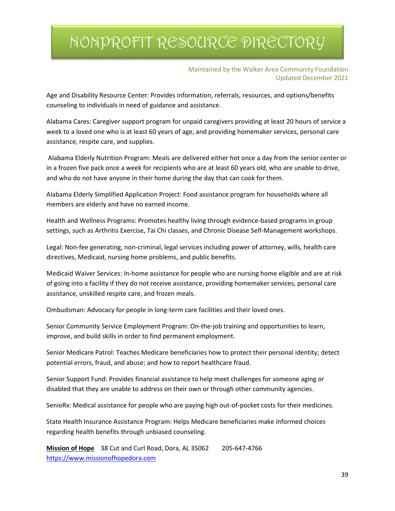Maintained by the Walker Area Community Foundation Updated December 2021

Age and Disability Resource Center: Provides information, referrals, resources, and options/benefits counseling to individuals in need of guidance and assistance.

Alabama Cares: Caregiver support program for unpaid caregivers providing at least 20 hours of service a week to a loved one who is at least 60 years of age, and providing homemaker services, personal care assistance, respite care, and supplies.

Alabama Elderly Nutrition Program: Meals are delivered either hot once a day from the senior center or in a frozen five pack once a week for recipients who are at least 60 years old, who are unable to drive, and who do not have anyone in their home during the day that can cook for them.

Alabama Elderly Simplified Application Project: Food assistance program for households where all members are elderly and have no earned income.

Health and Wellness Programs: Promotes healthy living through evidence-based programs in group settings, such as Arthritis Exercise, Tai Chi classes, and Chronic Disease Self-Management workshops.

Legal: Non-fee generating, non-criminal, legal services including power of attorney, wills, health care directives, Medicaid, nursing home problems, and public benefits.

Medicaid Waiver Services: In-home assistance for people who are nursing home eligible and are at risk of going into a facility if they do not receive assistance, providing homemaker services, personal care assistance, unskilled respite care, and frozen meals.

Ombudsman: Advocacy for people in long-term care facilities and their loved ones.

Senior Community Service Employment Program: On-the-job training and opportunities to learn, improve, and build skills in order to find permanent employment.

Senior Medicare Patrol: Teaches Medicare beneficiaries how to protect their personal identity; detect potential errors, fraud, and abuse; and how to report healthcare fraud.

Senior Support Fund: Provides financial assistance to help meet challenges for someone aging or disabled that they are unable to address on their own or through other community agencies.

SenioRx: Medical assistance for people who are paying high out-of-pocket costs for their medicines.

State Health Insurance Assistance Program: Helps Medicare beneficiaries make informed choices regarding health benefits through unbiased counseling.

**Mission of Hope** 38 Cut and Curl Road, Dora, AL 35062 205-647-4766 [https://www.missionofhopedora.com](https://www.missionofhopedora.com/)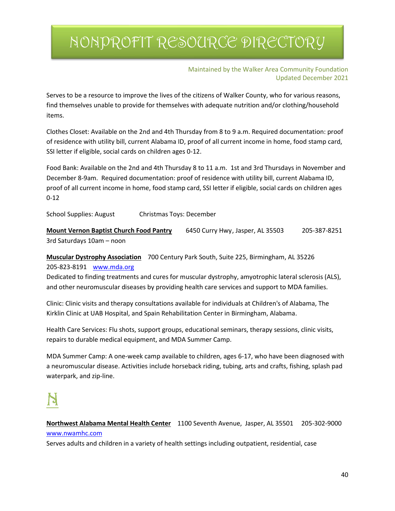Maintained by the Walker Area Community Foundation Updated December 2021

Serves to be a resource to improve the lives of the citizens of Walker County, who for various reasons, find themselves unable to provide for themselves with adequate nutrition and/or clothing/household items.

Clothes Closet: Available on the 2nd and 4th Thursday from 8 to 9 a.m. Required documentation: proof of residence with utility bill, current Alabama ID, proof of all current income in home, food stamp card, SSI letter if eligible, social cards on children ages 0-12.

Food Bank: Available on the 2nd and 4th Thursday 8 to 11 a.m. 1st and 3rd Thursdays in November and December 8-9am. Required documentation: proof of residence with utility bill, current Alabama ID, proof of all current income in home, food stamp card, SSI letter if eligible, social cards on children ages 0-12

School Supplies: August Christmas Toys: December

**Mount Vernon Baptist Church Food Pantry** 6450 Curry Hwy, Jasper, AL 35503 205-387-8251 3rd Saturdays 10am – noon

**Muscular Dystrophy Association** 700 Century Park South, Suite 225, Birmingham, AL 35226

205-823-8191 [www.mda.org](http://www.mda.org/)

Dedicated to finding treatments and cures for muscular dystrophy, amyotrophic lateral sclerosis (ALS), and other neuromuscular diseases by providing health care services and support to MDA families.

Clinic: Clinic visits and therapy consultations available for individuals at Children's of Alabama, The Kirklin Clinic at UAB Hospital, and Spain Rehabilitation Center in Birmingham, Alabama.

Health Care Services: Flu shots, support groups, educational seminars, therapy sessions, clinic visits, repairs to durable medical equipment, and MDA Summer Camp.

MDA Summer Camp: A one-week camp available to children, ages 6-17, who have been diagnosed with a neuromuscular disease. Activities include horseback riding, tubing, arts and crafts, fishing, splash pad waterpark, and zip-line.

**Northwest Alabama Mental Health Center** 1100 Seventh Avenue, Jasper, AL 35501 205-302-9000 [www.nwamhc.com](http://www.nwamhc.com/)

Serves adults and children in a variety of health settings including outpatient, residential, case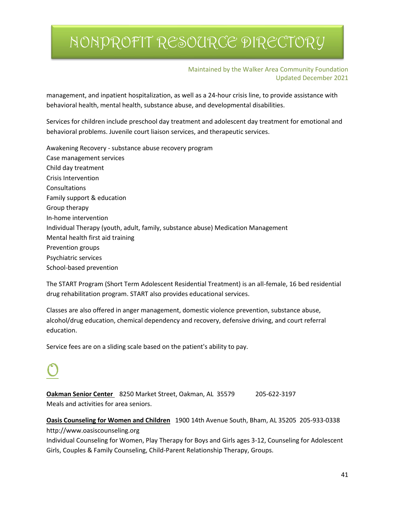#### Maintained by the Walker Area Community Foundation Updated December 2021

management, and inpatient hospitalization, as well as a 24-hour crisis line, to provide assistance with behavioral health, mental health, substance abuse, and developmental disabilities.

Services for children include preschool day treatment and adolescent day treatment for emotional and behavioral problems. Juvenile court liaison services, and therapeutic services.

Awakening Recovery - substance abuse recovery program Case management services Child day treatment Crisis Intervention Consultations Family support & education Group therapy In-home intervention Individual Therapy (youth, adult, family, substance abuse) Medication Management Mental health first aid training Prevention groups Psychiatric services School-based prevention

The START Program (Short Term Adolescent Residential Treatment) is an all-female, 16 bed residential drug rehabilitation program. START also provides educational services.

Classes are also offered in anger management, domestic violence prevention, substance abuse, alcohol/drug education, chemical dependency and recovery, defensive driving, and court referral education.

Service fees are on a sliding scale based on the patient's ability to pay.

**Oakman Senior Center** 8250 Market Street, Oakman, AL 35579 205-622-3197 Meals and activities for area seniors.

**Oasis Counseling for Women and Children** 1900 14th Avenue South, Bham, AL 35205 205-933-0338 http://www.oasiscounseling.org

Individual Counseling for Women, Play Therapy for Boys and Girls ages 3-12, Counseling for Adolescent Girls, Couples & Family Counseling, Child-Parent Relationship Therapy, Groups.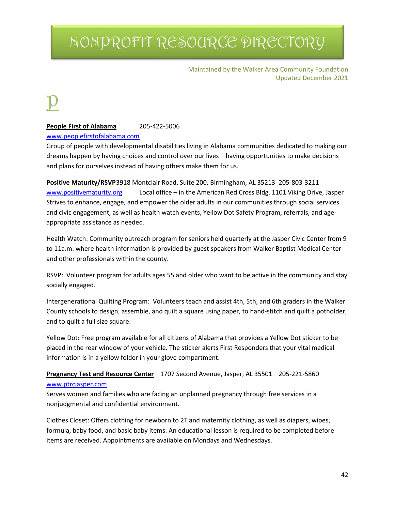Maintained by the Walker Area Community Foundation Updated December 2021

**People First of Alabama** 205-422-5006

#### [www.peoplefirstofalabama.com](http://www.peoplefirstofalabama.com/)

Group of people with developmental disabilities living in Alabama communities dedicated to making our dreams happen by having choices and control over our lives – having opportunities to make decisions and plans for ourselves instead of having others make them for us.

**Positive Maturity/RSVP**3918 Montclair Road, Suite 200, Birmingham, AL 35213 205-803-3211 [www.positivematurity.org](http://www.positivematurity.org/) Local office – in the American Red Cross Bldg. 1101 Viking Drive, Jasper Strives to enhance, engage, and empower the older adults in our communities through social services and civic engagement, as well as health watch events, Yellow Dot Safety Program, referrals, and ageappropriate assistance as needed.

Health Watch: Community outreach program for seniors held quarterly at the Jasper Civic Center from 9 to 11a.m. where health information is provided by guest speakers from Walker Baptist Medical Center and other professionals within the county.

RSVP: Volunteer program for adults ages 55 and older who want to be active in the community and stay socially engaged.

Intergenerational Quilting Program: Volunteers teach and assist 4th, 5th, and 6th graders in the Walker County schools to design, assemble, and quilt a square using paper, to hand-stitch and quilt a potholder, and to quilt a full size square.

Yellow Dot: Free program available for all citizens of Alabama that provides a Yellow Dot sticker to be placed in the rear window of your vehicle. The sticker alerts First Responders that your vital medical information is in a yellow folder in your glove compartment.

#### **Pregnancy Test and Resource Center** 1707 Second Avenue, Jasper, AL 35501 205-221-5860 [www.ptrcjasper.com](http://www.ptrcjasper.com/)

Serves women and families who are facing an unplanned pregnancy through free services in a nonjudgmental and confidential environment.

Clothes Closet: Offers clothing for newborn to 2T and maternity clothing, as well as diapers, wipes, formula, baby food, and basic baby items. An educational lesson is required to be completed before items are received. Appointments are available on Mondays and Wednesdays.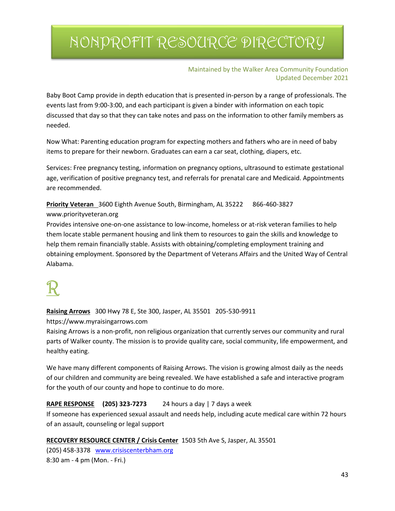Maintained by the Walker Area Community Foundation Updated December 2021

Baby Boot Camp provide in depth education that is presented in-person by a range of professionals. The events last from 9:00-3:00, and each participant is given a binder with information on each topic discussed that day so that they can take notes and pass on the information to other family members as needed.

Now What: Parenting education program for expecting mothers and fathers who are in need of baby items to prepare for their newborn. Graduates can earn a car seat, clothing, diapers, etc.

Services: Free pregnancy testing, information on pregnancy options, ultrasound to estimate gestational age, verification of positive pregnancy test, and referrals for prenatal care and Medicaid. Appointments are recommended.

**Priority Veteran** 3600 Eighth Avenue South, Birmingham, AL 35222 866-460-3827

#### www.priorityveteran.org

Provides intensive one-on-one assistance to low-income, homeless or at-risk veteran families to help them locate stable permanent housing and link them to resources to gain the skills and knowledge to help them remain financially stable. Assists with obtaining/completing employment training and obtaining employment. Sponsored by the Department of Veterans Affairs and the United Way of Central Alabama.

**Raising Arrows** 300 Hwy 78 E, Ste 300, Jasper, AL 35501 205-530-9911

https://www.myraisingarrows.com

Raising Arrows is a non-profit, non religious organization that currently serves our community and rural parts of Walker county. The mission is to provide quality care, social community, life empowerment, and healthy eating.

We have many different components of Raising Arrows. The vision is growing almost daily as the needs of our children and community are being revealed. We have established a safe and interactive program for the youth of our county and hope to continue to do more.

#### **RAPE RESPONSE (205) 323-7273** 24 hours a day | 7 days a week

If someone has experienced sexual assault and needs help, including acute medical care within 72 hours of an assault, counseling or legal support

**RECOVERY RESOURCE CENTER / Crisis Center** 1503 5th Ave S, Jasper, AL 35501

(205) 458-3378 [www.crisiscenterbham.org](http://www.crisiscenterbham.org/) 8:30 am - 4 pm (Mon. - Fri.)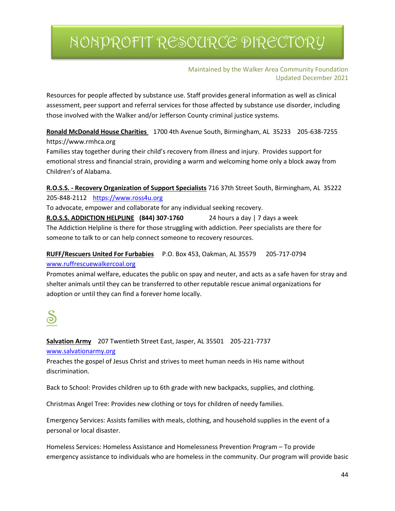Maintained by the Walker Area Community Foundation Updated December 2021

Resources for people affected by substance use. Staff provides general information as well as clinical assessment, peer support and referral services for those affected by substance use disorder, including those involved with the Walker and/or Jefferson County criminal justice systems.

**Ronald McDonald House Charities** 1700 4th Avenue South, Birmingham, AL 35233 205-638-7255 https://www.rmhca.org

Families stay together during their child's recovery from illness and injury. Provides support for emotional stress and financial strain, providing a warm and welcoming home only a block away from Children's of Alabama.

**R.O.S.S. - Recovery Organization of Support Specialists** 716 37th Street South, Birmingham, AL 35222 205-848-2112 [https://www.ross4u.org](https://www.ross4u.org/)

To advocate, empower and collaborate for any individual seeking recovery.

**R.O.S.S. ADDICTION HELPLINE (844) 307-1760** 24 hours a day | 7 days a week The Addiction Helpline is there for those struggling with addiction. Peer specialists are there for someone to talk to or can help connect someone to recovery resources.

### **RUFF/Rescuers United For Furbabies** P.O. Box 453, Oakman, AL 35579 205-717-0794 [www.ruffrescuewalkercoal.org](http://www.ruffrescuewalkercoal.org/)

Promotes animal welfare, educates the public on spay and neuter, and acts as a safe haven for stray and shelter animals until they can be transferred to other reputable rescue animal organizations for adoption or until they can find a forever home locally.

**Salvation Army** 207 Twentieth Street East, Jasper, AL 35501 205-221-7737 [www.salvationarmy.org](http://www.salvationarmy.org/)

Preaches the gospel of Jesus Christ and strives to meet human needs in His name without discrimination.

Back to School: Provides children up to 6th grade with new backpacks, supplies, and clothing.

Christmas Angel Tree: Provides new clothing or toys for children of needy families.

Emergency Services: Assists families with meals, clothing, and household supplies in the event of a personal or local disaster.

Homeless Services: Homeless Assistance and Homelessness Prevention Program – To provide emergency assistance to individuals who are homeless in the community. Our program will provide basic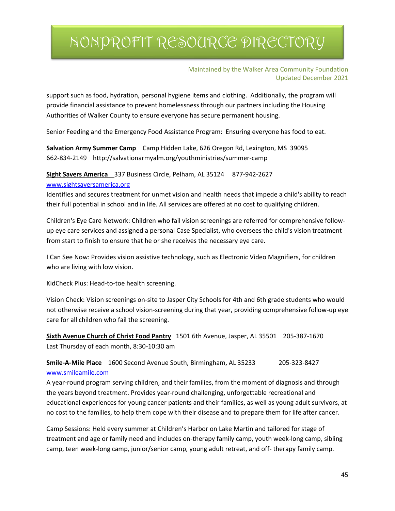#### Maintained by the Walker Area Community Foundation Updated December 2021

support such as food, hydration, personal hygiene items and clothing. Additionally, the program will provide financial assistance to prevent homelessness through our partners including the Housing Authorities of Walker County to ensure everyone has secure permanent housing.

Senior Feeding and the Emergency Food Assistance Program: Ensuring everyone has food to eat.

**Salvation Army Summer Camp** Camp Hidden Lake, 626 Oregon Rd, Lexington, MS 39095 662-834-2149 http://salvationarmyalm.org/youthministries/summer-camp

**Sight Savers America** 337 Business Circle, Pelham, AL 35124 877-942-2627

#### [www.sightsaversamerica.org](http://www.sightsaversamerica.org/)

Identifies and secures treatment for unmet vision and health needs that impede a child's ability to reach their full potential in school and in life. All services are offered at no cost to qualifying children.

Children's Eye Care Network: Children who fail vision screenings are referred for comprehensive followup eye care services and assigned a personal Case Specialist, who oversees the child's vision treatment from start to finish to ensure that he or she receives the necessary eye care.

I Can See Now: Provides vision assistive technology, such as Electronic Video Magnifiers, for children who are living with low vision.

KidCheck Plus: Head-to-toe health screening.

Vision Check: Vision screenings on-site to Jasper City Schools for 4th and 6th grade students who would not otherwise receive a school vision-screening during that year, providing comprehensive follow-up eye care for all children who fail the screening.

```
Sixth Avenue Church of Christ Food Pantry 1501 6th Avenue, Jasper, AL 35501 205-387-1670
Last Thursday of each month, 8:30-10:30 am
```
**Smile-A-Mile Place** 1600 Second Avenue South, Birmingham, AL 35233 205-323-8427 [www.smileamile.com](http://www.smileamile.com/)

A year-round program serving children, and their families, from the moment of diagnosis and through the years beyond treatment. Provides year-round challenging, unforgettable recreational and educational experiences for young cancer patients and their families, as well as young adult survivors, at no cost to the families, to help them cope with their disease and to prepare them for life after cancer.

Camp Sessions: Held every summer at Children's Harbor on Lake Martin and tailored for stage of treatment and age or family need and includes on-therapy family camp, youth week-long camp, sibling camp, teen week-long camp, junior/senior camp, young adult retreat, and off- therapy family camp.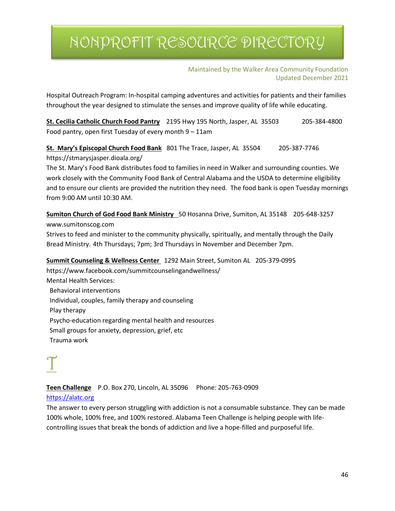Maintained by the Walker Area Community Foundation Updated December 2021

Hospital Outreach Program: In-hospital camping adventures and activities for patients and their families throughout the year designed to stimulate the senses and improve quality of life while educating.

**St. Cecilia Catholic Church Food Pantry** 2195 Hwy 195 North, Jasper, AL 35503 205-384-4800 Food pantry, open first Tuesday of every month 9 – 11am

**St. Mary's Episcopal Church Food Bank** 801 The Trace, Jasper, AL 35504 205-387-7746 https://stmarysjasper.dioala.org/

The St. Mary's Food Bank distributes food to families in need in Walker and surrounding counties. We work closely with the Community Food Bank of Central Alabama and the USDA to determine eligibility and to ensure our clients are provided the nutrition they need. The food bank is open Tuesday mornings from 9:00 AM until 10:30 AM.

**Sumiton Church of God Food Bank Ministry** 50 Hosanna Drive, Sumiton, AL 35148 205-648-3257 www.sumitonscog.com

Strives to feed and minister to the community physically, spiritually, and mentally through the Daily Bread Ministry. 4th Thursdays; 7pm; 3rd Thursdays in November and December 7pm.

#### **Summit Counseling & Wellness Center** 1292 Main Street, Sumiton AL 205-379-0995

https://www.facebook.com/summitcounselingandwellness/ Mental Health Services: Behavioral interventions Individual, couples, family therapy and counseling Play therapy Psycho-education regarding mental health and resources Small groups for anxiety, depression, grief, etc Trauma work

**Teen Challenge** P.O. Box 270, Lincoln, AL 35096 Phone: 205-763-0909

### [https://alatc.org](https://alatc.org/)

The answer to every person struggling with addiction is not a consumable substance. They can be made 100% whole, 100% free, and 100% restored. Alabama Teen Challenge is helping people with lifecontrolling issues that break the bonds of addiction and live a hope-filled and purposeful life.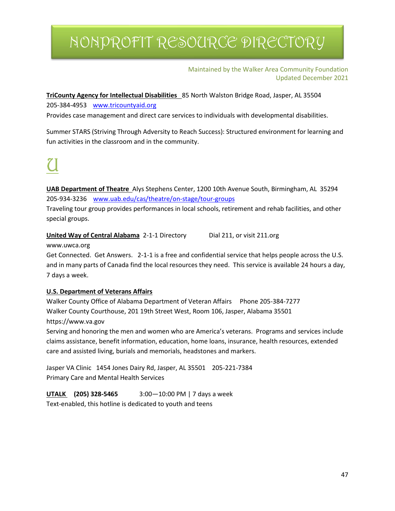#### Maintained by the Walker Area Community Foundation Updated December 2021

**TriCounty Agency for Intellectual Disabilities** 85 North Walston Bridge Road, Jasper, AL 35504 205-384-4953 [www.tricountyaid.org](http://www.tricountyaid.org/)

Provides case management and direct care services to individuals with developmental disabilities.

Summer STARS (Striving Through Adversity to Reach Success): Structured environment for learning and fun activities in the classroom and in the community.

**UAB Department of Theatre** Alys Stephens Center, 1200 10th Avenue South, Birmingham, AL 35294 205-934-3236 [www.uab.edu/cas/theatre/on-stage/tour-groups](http://www.uab.edu/cas/theatre/on-stage/tour-groups)

Traveling tour group provides performances in local schools, retirement and rehab facilities, and other special groups.

**United Way of Central Alabama** 2-1-1 Directory Dial 211, or visit 211.org

www.uwca.org

Get Connected. Get Answers. 2-1-1 is a free and confidential service that helps people across the U.S. and in many parts of Canada find the local resources they need. This service is available 24 hours a day, 7 days a week.

### **U.S. Department of Veterans Affairs**

Walker County Office of Alabama Department of Veteran Affairs Phone 205-384-7277 Walker County Courthouse, 201 19th Street West, Room 106, Jasper, Alabama 35501 https://www.va.gov

Serving and honoring the men and women who are America's veterans. Programs and services include claims assistance, benefit information, education, home loans, insurance, health resources, extended care and assisted living, burials and memorials, headstones and markers.

Jasper VA Clinic 1454 Jones Dairy Rd, Jasper, AL 35501 205-221-7384 Primary Care and Mental Health Services

**UTALK (205) 328-5465** 3:00—10:00 PM | 7 days a week

Text-enabled, this hotline is dedicated to youth and teens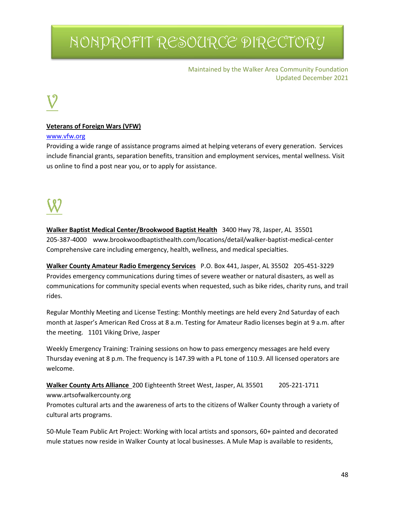Maintained by the Walker Area Community Foundation Updated December 2021

#### **Veterans of Foreign Wars (VFW)**

#### [www.vfw.org](http://www.vfw.org/)

Providing a wide range of assistance programs aimed at helping veterans of every generation. Services include financial grants, separation benefits, transition and employment services, mental wellness. Visit us online to find a post near you, or to apply for assistance.

**Walker Baptist Medical Center/Brookwood Baptist Health** 3400 Hwy 78, Jasper, AL 35501 205-387-4000 www.brookwoodbaptisthealth.com/locations/detail/walker-baptist-medical-center Comprehensive care including emergency, health, wellness, and medical specialties.

**Walker County Amateur Radio Emergency Services** P.O. Box 441, Jasper, AL 35502 205-451-3229 Provides emergency communications during times of severe weather or natural disasters, as well as communications for community special events when requested, such as bike rides, charity runs, and trail rides.

Regular Monthly Meeting and License Testing: Monthly meetings are held every 2nd Saturday of each month at Jasper's American Red Cross at 8 a.m. Testing for Amateur Radio licenses begin at 9 a.m. after the meeting. 1101 Viking Drive, Jasper

Weekly Emergency Training: Training sessions on how to pass emergency messages are held every Thursday evening at 8 p.m. The frequency is 147.39 with a PL tone of 110.9. All licensed operators are welcome.

**Walker County Arts Alliance** 200 Eighteenth Street West, Jasper, AL 35501 205-221-1711 www.artsofwalkercounty.org

Promotes cultural arts and the awareness of arts to the citizens of Walker County through a variety of cultural arts programs.

50-Mule Team Public Art Project: Working with local artists and sponsors, 60+ painted and decorated mule statues now reside in Walker County at local businesses. A Mule Map is available to residents,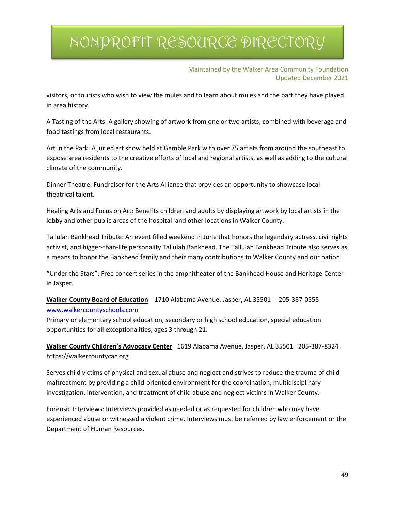Maintained by the Walker Area Community Foundation Updated December 2021

visitors, or tourists who wish to view the mules and to learn about mules and the part they have played in area history.

A Tasting of the Arts: A gallery showing of artwork from one or two artists, combined with beverage and food tastings from local restaurants.

Art in the Park: A juried art show held at Gamble Park with over 75 artists from around the southeast to expose area residents to the creative efforts of local and regional artists, as well as adding to the cultural climate of the community.

Dinner Theatre: Fundraiser for the Arts Alliance that provides an opportunity to showcase local theatrical talent.

Healing Arts and Focus on Art: Benefits children and adults by displaying artwork by local artists in the lobby and other public areas of the hospital and other locations in Walker County.

Tallulah Bankhead Tribute: An event filled weekend in June that honors the legendary actress, civil rights activist, and bigger-than-life personality Tallulah Bankhead. The Tallulah Bankhead Tribute also serves as a means to honor the Bankhead family and their many contributions to Walker County and our nation.

"Under the Stars": Free concert series in the amphitheater of the Bankhead House and Heritage Center in Jasper.

**Walker County Board of Education** 1710 Alabama Avenue, Jasper, AL 35501 205-387-0555 [www.walkercountyschools.com](http://www.walkercountyschools.com/)

Primary or elementary school education, secondary or high school education, special education opportunities for all exceptionalities, ages 3 through 21.

**Walker County Children's Advocacy Center** 1619 Alabama Avenue, Jasper, AL 35501 205-387-8324 https://walkercountycac.org

Serves child victims of physical and sexual abuse and neglect and strives to reduce the trauma of child maltreatment by providing a child-oriented environment for the coordination, multidisciplinary investigation, intervention, and treatment of child abuse and neglect victims in Walker County.

Forensic Interviews: Interviews provided as needed or as requested for children who may have experienced abuse or witnessed a violent crime. Interviews must be referred by law enforcement or the Department of Human Resources.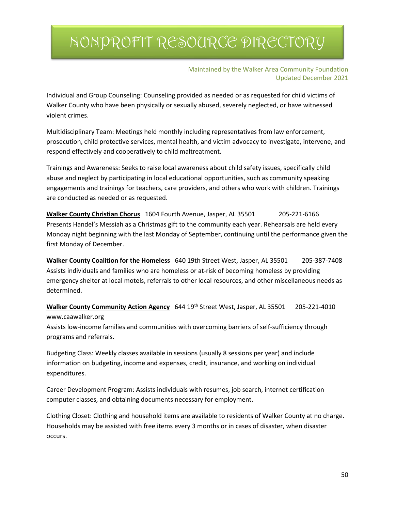Maintained by the Walker Area Community Foundation Updated December 2021

Individual and Group Counseling: Counseling provided as needed or as requested for child victims of Walker County who have been physically or sexually abused, severely neglected, or have witnessed violent crimes.

Multidisciplinary Team: Meetings held monthly including representatives from law enforcement, prosecution, child protective services, mental health, and victim advocacy to investigate, intervene, and respond effectively and cooperatively to child maltreatment.

Trainings and Awareness: Seeks to raise local awareness about child safety issues, specifically child abuse and neglect by participating in local educational opportunities, such as community speaking engagements and trainings for teachers, care providers, and others who work with children. Trainings are conducted as needed or as requested.

**Walker County Christian Chorus** 1604 Fourth Avenue, Jasper, AL 35501 205-221-6166 Presents Handel's Messiah as a Christmas gift to the community each year. Rehearsals are held every Monday night beginning with the last Monday of September, continuing until the performance given the first Monday of December.

**Walker County Coalition for the Homeless** 640 19th Street West, Jasper, AL 35501 205-387-7408 Assists individuals and families who are homeless or at-risk of becoming homeless by providing emergency shelter at local motels, referrals to other local resources, and other miscellaneous needs as determined.

**Walker County Community Action Agency** 644 19th Street West, Jasper, AL 35501 205-221-4010 www.caawalker.org

Assists low-income families and communities with overcoming barriers of self-sufficiency through programs and referrals.

Budgeting Class: Weekly classes available in sessions (usually 8 sessions per year) and include information on budgeting, income and expenses, credit, insurance, and working on individual expenditures.

Career Development Program: Assists individuals with resumes, job search, internet certification computer classes, and obtaining documents necessary for employment.

Clothing Closet: Clothing and household items are available to residents of Walker County at no charge. Households may be assisted with free items every 3 months or in cases of disaster, when disaster occurs.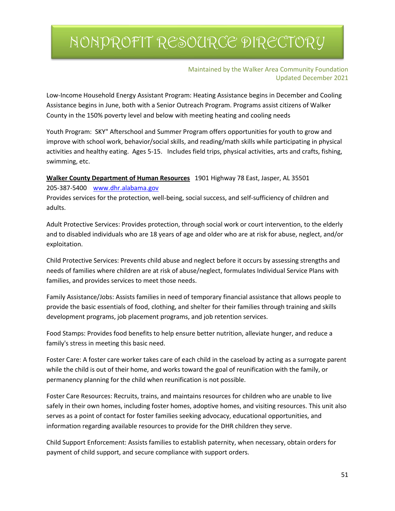#### Maintained by the Walker Area Community Foundation Updated December 2021

Low-Income Household Energy Assistant Program: Heating Assistance begins in December and Cooling Assistance begins in June, both with a Senior Outreach Program. Programs assist citizens of Walker County in the 150% poverty level and below with meeting heating and cooling needs

Youth Program: SKY" Afterschool and Summer Program offers opportunities for youth to grow and improve with school work, behavior/social skills, and reading/math skills while participating in physical activities and healthy eating. Ages 5-15. Includes field trips, physical activities, arts and crafts, fishing, swimming, etc.

#### **Walker County Department of Human Resources** 1901 Highway 78 East, Jasper, AL 35501

205-387-5400 [www.dhr.alabama.gov](http://www.dhr.alabama.gov/)

Provides services for the protection, well-being, social success, and self-sufficiency of children and adults.

Adult Protective Services: Provides protection, through social work or court intervention, to the elderly and to disabled individuals who are 18 years of age and older who are at risk for abuse, neglect, and/or exploitation.

Child Protective Services: Prevents child abuse and neglect before it occurs by assessing strengths and needs of families where children are at risk of abuse/neglect, formulates Individual Service Plans with families, and provides services to meet those needs.

Family Assistance/Jobs: Assists families in need of temporary financial assistance that allows people to provide the basic essentials of food, clothing, and shelter for their families through training and skills development programs, job placement programs, and job retention services.

Food Stamps: Provides food benefits to help ensure better nutrition, alleviate hunger, and reduce a family's stress in meeting this basic need.

Foster Care: A foster care worker takes care of each child in the caseload by acting as a surrogate parent while the child is out of their home, and works toward the goal of reunification with the family, or permanency planning for the child when reunification is not possible.

Foster Care Resources: Recruits, trains, and maintains resources for children who are unable to live safely in their own homes, including foster homes, adoptive homes, and visiting resources. This unit also serves as a point of contact for foster families seeking advocacy, educational opportunities, and information regarding available resources to provide for the DHR children they serve.

Child Support Enforcement: Assists families to establish paternity, when necessary, obtain orders for payment of child support, and secure compliance with support orders.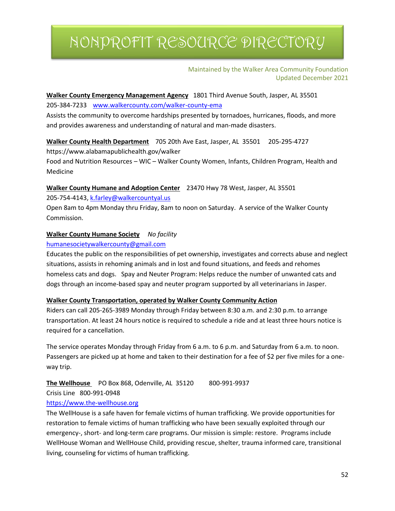#### Maintained by the Walker Area Community Foundation Updated December 2021

#### **Walker County Emergency Management Agency** 1801 Third Avenue South, Jasper, AL 35501 205-384-7233 [www.walkercounty.com/walker-county-ema](http://www.walkercounty.com/walker-county-ema)

Assists the community to overcome hardships presented by tornadoes, hurricanes, floods, and more and provides awareness and understanding of natural and man-made disasters.

### **Walker County Health Department** 705 20th Ave East, Jasper, AL 35501 205-295-4727

https://www.alabamapublichealth.gov/walker

Food and Nutrition Resources – WIC – Walker County Women, Infants, Children Program, Health and Medicine

#### **Walker County Humane and Adoption Center** 23470 Hwy 78 West, Jasper, AL 35501

205-754-4143[, k.farley@walkercountyal.us](mailto:k.farley@walkercountyal.us) 

Open 8am to 4pm Monday thru Friday, 8am to noon on Saturday. A service of the Walker County Commission.

### **Walker County Humane Society** *No facility*

#### [humanesocietywalkercounty@gmail.com](mailto:humanesocietywalkercounty@gmail.com)

Educates the public on the responsibilities of pet ownership, investigates and corrects abuse and neglect situations, assists in rehoming animals and in lost and found situations, and feeds and rehomes homeless cats and dogs. Spay and Neuter Program: Helps reduce the number of unwanted cats and dogs through an income-based spay and neuter program supported by all veterinarians in Jasper.

#### **Walker County Transportation, operated by Walker County Community Action**

Riders can call 205-265-3989 Monday through Friday between 8:30 a.m. and 2:30 p.m. to arrange transportation. At least 24 hours notice is required to schedule a ride and at least three hours notice is required for a cancellation.

The service operates Monday through Friday from 6 a.m. to 6 p.m. and Saturday from 6 a.m. to noon. Passengers are picked up at home and taken to their destination for a fee of \$2 per five miles for a oneway trip.

### **The Wellhouse** PO Box 868, Odenville, AL 35120 800-991-9937

Crisis Line 800-991-0948

### [https://www.the-wellhouse.org](https://www.the-wellhouse.org/)

The WellHouse is a safe haven for female victims of human trafficking. We provide opportunities for restoration to female victims of human trafficking who have been sexually exploited through our emergency-, short- and long-term care programs. Our mission is simple: restore. Programs include WellHouse Woman and WellHouse Child, providing rescue, shelter, trauma informed care, transitional living, counseling for victims of human trafficking.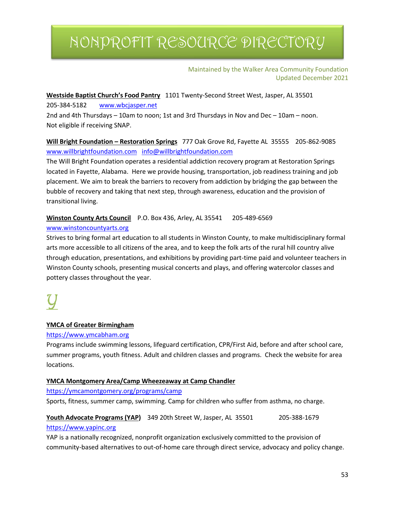#### Maintained by the Walker Area Community Foundation Updated December 2021

**Westside Baptist Church's Food Pantry** 1101 Twenty-Second Street West, Jasper, AL 35501

205-384-5182 [www.wbcjasper.net](http://www.wbcjasper.net/)

2nd and 4th Thursdays – 10am to noon; 1st and 3rd Thursdays in Nov and Dec – 10am – noon. Not eligible if receiving SNAP.

**Will Bright Foundation – Restoration Springs** 777 Oak Grove Rd, Fayette AL 35555 205-862-9085 [www.willbrightfoundation.com](http://www.willbrightfoundation.com/) [info@willbrightfoundation.com](mailto:info@willbrightfoundation.com)

The Will Bright Foundation operates a residential addiction recovery program at Restoration Springs located in Fayette, Alabama. Here we provide housing, transportation, job readiness training and job placement. We aim to break the barriers to recovery from addiction by bridging the gap between the bubble of recovery and taking that next step, through awareness, education and the provision of transitional living.

### Winston County Arts Council P.O. Box 436, Arley, AL 35541 205-489-6569

#### [www.winstoncountyarts.org](http://www.winstoncountyarts.org/)

Strives to bring formal art education to all students in Winston County, to make multidisciplinary formal arts more accessible to all citizens of the area, and to keep the folk arts of the rural hill country alive through education, presentations, and exhibitions by providing part-time paid and volunteer teachers in Winston County schools, presenting musical concerts and plays, and offering watercolor classes and pottery classes throughout the year.

### **YMCA of Greater Birmingham**

### [https://www.ymcabham.org](https://www.ymcabham.org/)

Programs include swimming lessons, lifeguard certification, CPR/First Aid, before and after school care, summer programs, youth fitness. Adult and children classes and programs. Check the website for area locations.

### **YMCA Montgomery Area/Camp Wheezeaway at Camp Chandler**

### <https://ymcamontgomery.org/programs/camp>

Sports, fitness, summer camp, swimming. Camp for children who suffer from asthma, no charge.

### **Youth Advocate Programs (YAP)** 349 20th Street W, Jasper, AL 35501 205-388-1679 [https://www.yapinc.org](https://www.yapinc.org/)

YAP is a nationally recognized, nonprofit organization exclusively committed to the provision of community-based alternatives to out-of-home care through direct service, advocacy and policy change.